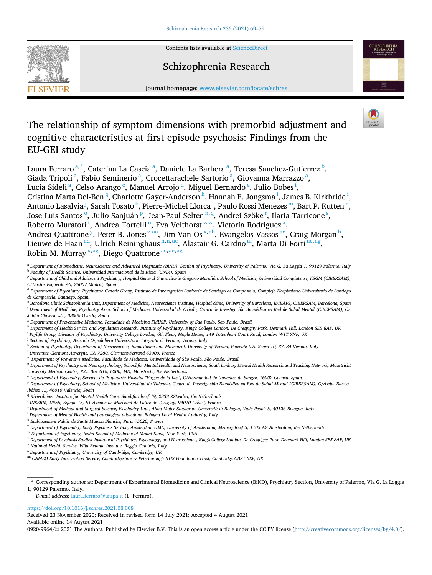

Contents lists available at [ScienceDirect](www.sciencedirect.com/science/journal/09209964)

## Schizophrenia Research



journal homepage: [www.elsevier.com/locate/schres](https://www.elsevier.com/locate/schres)

# The relationship of symptom dimensions with premorbid adjustment and cognitive characteristics at first episode psychosis: Findings from the EU-GEI study

Laura Ferraro<sup>a,\*</sup>, Caterina La Cascia<sup>a</sup>, Daniele La Barbera<sup>a</sup>, Teresa Sanchez-Gutierrez <sup>b</sup>, Giada Tripoli<sup>a</sup>, Fabio Seminerio<sup>a</sup>, Crocettarachele Sartorio<sup>a</sup>, Giovanna Marrazzo<sup>a</sup>, Lucia Sideli<sup>a</sup>, Celso Arango<sup>c</sup>, Manuel Arrojo<sup>d</sup>, Miguel Bernardo<sup>e</sup>, Julio Bobes<sup>f</sup>, Cristina Marta Del-Ben <sup>g</sup>, Charlotte Gayer-Anderson <sup>h</sup>, Hannah E. Jongsma <sup>i</sup>, James B. Kirkbride <sup>i</sup>, Antonio Lasalvia <sup>j</sup>, Sarah Tosato <sup>k</sup>, Pierre-Michel Llorca <sup>l</sup>, Paulo Rossi Menezes m, Bart P. Rutten <sup>n</sup>, Jose Luis Santos<sup>o</sup>, Julio Sanjuán<sup>p</sup>, Jean-Paul Selten<sup>n,q</sup>, Andrei Szöke<sup>r</sup>, Ilaria Tarricone<sup>s</sup>, Roberto Muratori<sup>t</sup>, Andrea Tortelli<sup>u</sup>, Eva Velthorst<sup>v,w</sup>, Victoria Rodriguez<sup>x</sup>, Andrea Quattrone<sup>y</sup>, Peter B. Jones<sup>z, aa</sup>, Jim Van Os<sup>x, ab</sup>, Evangelos Vassos <sup>ac</sup>, Craig Morgan<sup>h</sup>, Lieuwe de Haan $^{\rm ad}$ , Ulrich Reininghaus $^{\rm h,n,ae}$ , Alastair G. Cardno $^{\rm af}$ , Marta Di Forti $^{\rm ac,ag}$ , Robin M. Murray <sup>x, ag</sup>, Diego Quattrone <sup>ac, ae, ag</sup>

- <sup>k</sup> *Section of Psychiatry, Department of Neuroscience, Biomedicine and Movement, University of Verona, Piazzale L.A. Scuro 10, 37134 Verona, Italy*
- <sup>1</sup> Université Clermont Auvergne, EA 7280, Clermont-Ferrand 63000, France

<sup>m</sup> Department of Preventive Medicine, Faculdade de Medicina, Universidade of São Paulo, São Paulo, Brazil

<sup>n</sup> *Department of Psychiatry and Neuropsychology, School for Mental Health and Neuroscience, South Limburg Mental Health Research and Teaching Network, Maastricht University Medical Centre, P.O. Box 616, 6200, MD, Maastricht, the Netherlands* 

<sup>o</sup> *Department of Psychiatry, Servicio de Psiquiatría Hospital "Virgen de la Luz", C/Hermandad de Donantes de Sangre, 16002 Cuenca, Spain* 

- <sup>p</sup> Department of Psychiatry, School of Medicine, Universidad de Valencia, Centro de Investigación Biomédica en Red de Salud Mental (CIBERSAM), C/Avda. Blasco *Iba*´*nez* ˜ *15, 46010 Valencia, Spain*
- <sup>q</sup> Rivierduinen Institute for Mental Health Care, Sandifortdreef 19, 2333 ZZLeiden, the Netherlands
- <sup>r</sup> *INSERM, U955, Equipe 15, 51 Avenue de Mar*´*echal de Lattre de Tassigny, 94010 Cr*´*eteil, France*
- <sup>s</sup> *Department of Medical and Surgical Science, Psychiatry Unit, Alma Mater Studiorum Universita* ` *di Bologna, Viale Pepoli 5, 40126 Bologna, Italy*

<sup>t</sup> *Dapertment of Mental Health and pathological addictions, Bologna Local Health Authority, Italy* 

- <sup>u</sup> *Etablissement Public de Sant*´*e Maison Blanche, Paris 75020, France*
- <sup>v</sup> *Department of Psychiatry, Early Psychosis Section, Amsterdam UMC, University of Amsterdam, Meibergdreef 5, 1105 AZ Amsterdam, the Netherlands*
- <sup>w</sup> *Department of Psychiatry, Icahn School of Medicine at Mount Sinai, New York, USA*
- <sup>x</sup> *Department of Psychosis Studies, Institute of Psychiatry, Psychology, and Neuroscience, King's College London, De Crespigny Park, Denmark Hill, London SE5 8AF, UK*
- <sup>y</sup> *National Health Service, Villa Betania Institute, Reggio Calabria, Italy*
- <sup>z</sup> *Department of Psychiatry, University of Cambridge, Cambridge, UK*
- aa *CAMEO Early Intervention Service, Cambridgeshire & Peterborough NHS Foundation Trust, Cambridge CB21 5EF, UK*

\* Corresponding author at: Department of Experimental Biomedicine and Clinical Neuroscience (BiND), Psychiatry Section, University of Palermo, Via G. La Loggia 1, 90129 Palermo, Italy.

*E-mail address:* [laura.ferraro@unipa.it](mailto:laura.ferraro@unipa.it) (L. Ferraro).

#### <https://doi.org/10.1016/j.schres.2021.08.008>

Available online 14 August 2021 Received 23 November 2020; Received in revised form 14 July 2021; Accepted 4 August 2021

0920-9964/© 2021 The Authors. Published by Elsevier B.V. This is an open access article under the CC BY license [\(http://creativecommons.org/licenses/by/4.0/\)](http://creativecommons.org/licenses/by/4.0/).

<sup>a</sup> *Department of Biomedicine, Neuroscience and Advanced Diagnostic (BiND), Section of Psychiatry, University of Palermo, Via G. La Loggia 1, 90129 Palermo, Italy* <sup>b</sup> *Faculty of Health Science, Universidad Internacional de la Rioja (UNIR), Spain* 

<sup>&</sup>lt;sup>c</sup> Department of Child and Adolescent Psychiatry, Hospital General Universitario Gregorio Marañón, School of Medicine, Universidad Complutense, IiSGM (CIBERSAM), *C/Doctor Esquerdo 46, 28007 Madrid, Spain* 

<sup>&</sup>lt;sup>d</sup> Department of Psychiatry, Psychiatric Genetic Group, Instituto de Investigación Sanitaria de Santiago de Compostela, Complejo Hospitalario Universitario de Santiago *de Compostela, Santiago, Spain* 

<sup>e</sup> *Barcelona Clinic Schizophrenia Unit, Department of Medicine, Neuroscience Institute, Hospital clinic, University of Barcelona, IDIBAPS, CIBERSAM, Barcelona, Spain* <sup>f</sup> *Department of Medicine, Psychiatry Area, School of Medicine, Universidad de Oviedo, Centro de Investigacion* ´ *Biom*´*edica en Red de Salud Mental (CIBERSAM), C/ Julian* ´ *Clavería s/n, 33006 Oviedo, Spain* 

<sup>&</sup>lt;sup>g</sup> Department of Preventative Medicine, Faculdade de Medicina FMUSP, University of São Paulo, São Paulo, Brazil

<sup>h</sup> *Department of Health Service and Population Research, Institute of Psychiatry, King's College London, De Crespigny Park, Denmark Hill, London SE5 8AF, UK* 

<sup>i</sup> *Psylife Group, Division of Psychiatry, University College London, 6th Floor, Maple House, 149 Tottenham Court Road, London W1T 7NF, UK* 

<sup>j</sup> *Section of Psychiatry, Azienda Ospedaliera Universitaria Integrata di Verona, Verona, Italy*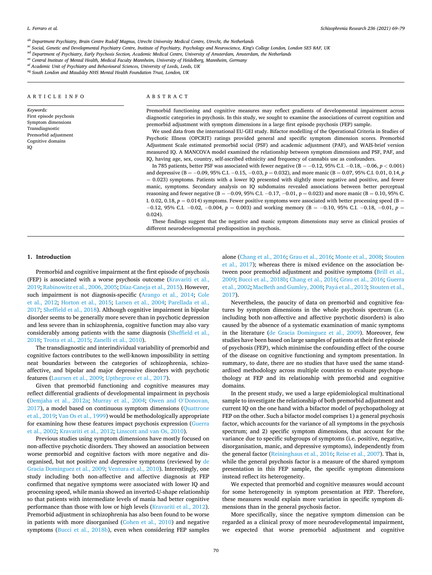<span id="page-1-0"></span>ab *Department Psychiatry, Brain Centre Rudolf Magnus, Utrecht University Medical Centre, Utrecht, the Netherlands* 

ac Social, Genetic and Developmental Psychiatry Centre, Institute of Psychiatry, Psychology and Neuroscience, King's College London, London SE5 8AF, UK

ad *Department of Psychiatry, Early Psychosis Section, Academic Medical Centre, University of Amsterdam, Amsterdam, the Netherlands* 

ae *Central Institute of Mental Health, Medical Faculty Mannheim, University of Heidelberg, Mannheim, Germany* 

af *Academic Unit of Psychiatry and Behavioural Sciences, University of Leeds, Leeds, UK* 

ag *South London and Maudsley NHS Mental Health Foundation Trust, London, UK* 

#### ARTICLE INFO

*Keywords:*  First episode psychosis Symptom dimensions Transdiagnostic Premorbid adjustment Cognitive domains IQ

## ABSTRACT

Premorbid functioning and cognitive measures may reflect gradients of developmental impairment across diagnostic categories in psychosis. In this study, we sought to examine the associations of current cognition and premorbid adjustment with symptom dimensions in a large first episode psychosis (FEP) sample.

We used data from the international EU-GEI study. Bifactor modelling of the Operational Criteria in Studies of Psychotic Illness (OPCRIT) ratings provided general and specific symptom dimension scores. Premorbid Adjustment Scale estimated premorbid social (PSF) and academic adjustment (PAF), and WAIS-brief version measured IQ. A MANCOVA model examined the relationship between symptom dimensions and PSF, PAF, and IQ, having age, sex, country, self-ascribed ethnicity and frequency of cannabis use as confounders.

In 785 patients, better PSF was associated with fewer negative (B = − 0.12, 95% C.I. − 0.18, − 0.06, *p <* 0.001) and depressive (B = −0.09, 95% C.I. −0.15, −0.03, *p* = 0.032), and more manic (B = 0.07, 95% C.I. 0.01, 0.14, *p* = 0.023) symptoms. Patients with a lower IQ presented with slightly more negative and positive, and fewer manic, symptoms. Secondary analysis on IQ subdomains revealed associations between better perceptual reasoning and fewer negative (B =  $-0.09$ , 95% C.I.  $-0.17$ ,  $-0.01$ , p = 0.023) and more manic (B = 0.10, 95% C. I. 0.02, 0.18,  $p = 0.014$ ) symptoms. Fewer positive symptoms were associated with better processing speed (B = − 0.12, 95% C.I. − 0.02, − 0.004, *p* = 0.003) and working memory (B = − 0.10, 95% C.I. − 0.18, − 0.01, *p* = 0.024).

These findings suggest that the negative and manic symptom dimensions may serve as clinical proxies of different neurodevelopmental predisposition in psychosis.

#### **1. Introduction**

Premorbid and cognitive impairment at the first episode of psychosis (FEP) is associated with a worse psychosis outcome [\(Kravariti et al.,](#page-9-0)  [2019;](#page-9-0) [Rabinowitz et al., 2006, 2005;](#page-10-0) [Díaz-Caneja et al., 2015\)](#page-8-0). However, such impairment is not diagnosis-specific [\(Arango et al., 2014](#page-7-0); [Cole](#page-8-0)  [et al., 2012](#page-8-0); [Horton et al., 2015;](#page-9-0) [Larsen et al., 2004;](#page-9-0) [Parellada et al.,](#page-9-0)  [2017;](#page-9-0) [Sheffield et al., 2018\)](#page-10-0). Although cognitive impairment in bipolar disorder seems to be generally more severe than in psychotic depression and less severe than in schizophrenia, cognitive function may also vary considerably among patients with the same diagnosis ([Sheffield et al.,](#page-10-0)  [2018; Trotta et al., 2015](#page-10-0); [Zanelli et al., 2010\)](#page-10-0).

The transdiagnostic and interindividual variability of premorbid and cognitive factors contributes to the well-known impossibility in setting neat boundaries between the categories of schizophrenia, schizoaffective, and bipolar and major depressive disorders with psychotic features [\(Laursen et al., 2009](#page-9-0); [Upthegrove et al., 2017](#page-10-0)).

Given that premorbid functioning and cognitive measures may reflect differential gradients of developmental impairment in psychosis ([Demjaha et al., 2012a](#page-8-0); [Murray et al., 2004;](#page-9-0) [Owen and O](#page-9-0)'Donovan, [2017\)](#page-9-0), a model based on continuous symptom dimensions ([Quattrone](#page-10-0)  [et al., 2019; Van Os et al., 1999](#page-10-0)) would be methodologically appropriate for examining how these features impact psychosis expression [\(Guerra](#page-9-0)  [et al., 2002; Kravariti et al., 2012](#page-9-0); [Linscott and van Os, 2010](#page-9-0)).

Previous studies using symptom dimensions have mostly focused on non-affective psychotic disorders. They showed an association between worse premorbid and cognitive factors with more negative and disorganised, but not positive and depressive symptoms (reviewed by [de](#page-9-0)  [Gracia Dominguez et al., 2009;](#page-9-0) [Ventura et al., 2010\)](#page-10-0). Interestingly, one study including both non-affective and affective diagnosis at FEP confirmed that negative symptoms were associated with lower IQ and processing speed, while mania showed an inverted-U-shape relationship so that patients with intermediate levels of mania had better cognitive performance than those with low or high levels ([Kravariti et al., 2012](#page-9-0)). Premorbid adjustment in schizophrenia has also been found to be worse in patients with more disorganised [\(Cohen et al., 2010](#page-8-0)) and negative symptoms ([Bucci et al., 2018b\)](#page-8-0), even when considering FEP samples

alone ([Chang et al., 2016;](#page-8-0) [Grau et al., 2016](#page-9-0); [Monte et al., 2008;](#page-9-0) [Stouten](#page-10-0)  [et al., 2017](#page-10-0)); whereas there is mixed evidence on the association between poor premorbid adjustment and positive symptoms [\(Brill et al.,](#page-8-0)  [2009; Bucci et al., 2018b](#page-8-0); [Chang et al., 2016;](#page-8-0) [Grau et al., 2016; Guerra](#page-9-0)  [et al., 2002](#page-9-0); [MacBeth and Gumley, 2008](#page-9-0); Payá et al., 2013; Stouten et al., [2017\)](#page-10-0).

Nevertheless, the paucity of data on premorbid and cognitive features by symptom dimensions in the whole psychosis spectrum (i.e. including both non-affective and affective psychotic disorders) is also caused by the absence of a systematic examination of manic symptoms in the literature [\(de Gracia Dominguez et al., 2009](#page-9-0)). Moreover, few studies have been based on large samples of patients at their first episode of psychosis (FEP), which minimise the confounding effect of the course of the disease on cognitive functioning and symptom presentation. In summary, to date, there are no studies that have used the same standardised methodology across multiple countries to evaluate psychopathology at FEP and its relationship with premorbid and cognitive domains.

In the present study, we used a large epidemiological multinational sample to investigate the relationship of both premorbid adjustment and current IQ on the one hand with a bifactor model of psychopathology at FEP on the other. Such a bifactor model comprises 1) a general psychosis factor, which accounts for the variance of all symptoms in the psychosis spectrum; and 2) specific symptom dimensions, that account for the variance due to specific subgroups of symptoms (i.e. positive, negative, disorganisation, manic, and depressive symptoms), independently from the general factor ([Reininghaus et al., 2016](#page-10-0); [Reise et al., 2007](#page-10-0)). That is, while the general psychosis factor is a measure of the shared symptom presentation in this FEP sample, the specific symptom dimensions instead reflect its heterogeneity.

We expected that premorbid and cognitive measures would account for some heterogeneity in symptom presentation at FEP. Therefore, these measures would explain more variation in specific symptom dimensions than in the general psychosis factor.

More specifically, since the negative symptom dimension can be regarded as a clinical proxy of more neurodevelopmental impairment, we expected that worse premorbid adjustment and cognitive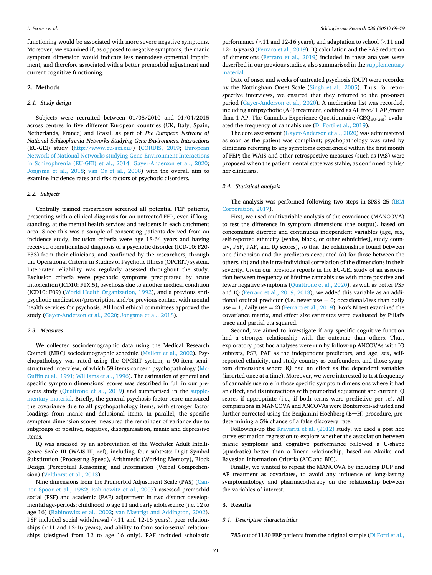functioning would be associated with more severe negative symptoms. Moreover, we examined if, as opposed to negative symptoms, the manic symptom dimension would indicate less neurodevelopmental impairment, and therefore associated with a better premorbid adjustment and current cognitive functioning.

#### **2. Methods**

#### *2.1. Study design*

Subjects were recruited between 01/05/2010 and 01/04/2015 across centres in five different European countries (UK, Italy, Spain, Netherlands, France) and Brazil, as part of *The European Network of National Schizophrenia Networks Studying Gene-Environment Interactions*  (EU-GEI) study ([http://www.eu-gei.eu/](http://www.eu-gei.eu/))) [\(CORDIS, 2019;](#page-8-0) [European](#page-8-0)  [Network of National Networks studying Gene-Environment Interactions](#page-8-0)  [in Schizophrenia \(EU-GEI\) et al., 2014](#page-8-0); [Gayer-Anderson et al., 2020](#page-8-0); [Jongsma et al., 2018;](#page-9-0) [van Os et al., 2008](#page-9-0)) with the overall aim to examine incidence rates and risk factors of psychotic disorders.

#### *2.2. Subjects*

Centrally trained researchers screened all potential FEP patients, presenting with a clinical diagnosis for an untreated FEP, even if longstanding, at the mental health services and residents in each catchment area. Since this was a sample of consenting patients derived from an incidence study, inclusion criteria were age 18-64 years and having received operationalised diagnosis of a psychotic disorder (ICD-10: F20- F33) from their clinicians, and confirmed by the researchers, through the Operational Criteria in Studies of Psychotic Illness (OPCRIT) system. Inter-rater reliability was regularly assessed throughout the study. Exclusion criteria were psychotic symptoms precipitated by acute intoxication (ICD10: F1X.5), psychosis due to another medical condition (ICD10: F09) ([World Health Organization, 1992](#page-10-0)), and a previous antipsychotic medication/prescription and/or previous contact with mental health services for psychosis. All local ethical committees approved the study [\(Gayer-Anderson et al., 2020;](#page-8-0) [Jongsma et al., 2018\)](#page-9-0).

## *2.3. Measures*

We collected sociodemographic data using the Medical Research Council (MRC) sociodemographic schedule ([Mallett et al., 2002\)](#page-9-0). Psychopathology was rated using the OPCRIT system, a 90-item semistructured interview, of which 59 items concern psychopathology [\(Mc-](#page-9-0)[Guffin et al., 1991](#page-9-0); [Williams et al., 1996](#page-10-0)). The estimation of general and specific symptom dimensions' scores was described in full in our previous study ([Quattrone et al., 2019](#page-10-0)) and summarised in the supplementary material. Briefly, the general psychosis factor score measured the covariance due to all psychopathology items, with stronger factor loadings from manic and delusional items. In parallel, the specific symptom dimension scores measured the remainder of variance due to subgroups of positive, negative, disorganisation, manic and depressive items.

IQ was assessed by an abbreviation of the Wechsler Adult Intelligence Scale–III (WAIS-III, ref), including four subtests: Digit Symbol Substitution (Processing Speed), Arithmetic (Working Memory), Block Design (Perceptual Reasoning) and Information (Verbal Comprehension) [\(Velthorst et al., 2013](#page-10-0)).

Nine dimensions from the Premorbid Adjustment Scale (PAS) ([Can](#page-8-0)[non-Spoor et al., 1982](#page-8-0); [Rabinowitz et al., 2007](#page-10-0)) assessed premorbid social (PSF) and academic (PAF) adjustment in two distinct developmental age-periods: childhood to age 11 and early adolescence (i.e. 12 to age 16) [\(Rabinowitz et al., 2002](#page-10-0); [van Mastrigt and Addington, 2002](#page-9-0)). PSF included social withdrawal (*<*11 and 12-16 years), peer relationships (*<*11 and 12-16 years), and ability to form socio-sexual relationships (designed from 12 to age 16 only). PAF included scholastic

performance (*<*11 and 12-16 years), and adaptation to school (*<*11 and 12-16 years) [\(Ferraro et al., 2019](#page-8-0)). IQ calculation and the PAS reduction of dimensions [\(Ferraro et al., 2019](#page-8-0)) included in these analyses were described in our previous studies, also summarised in the supplementary material.

Date of onset and weeks of untreated psychosis (DUP) were recorder by the Nottingham Onset Scale [\(Singh et al., 2005\)](#page-10-0). Thus, for retrospective interviews, we ensured that they referred to the pre-onset period [\(Gayer-Anderson et al., 2020\)](#page-8-0). A medication list was recorded, including antipsychotic (AP) treatment, codified as AP free/ 1 AP /more than 1 AP. The Cannabis Experience Questionnaire ( $CEQ_{EU-GEI}$ ) evaluated the frequency of cannabis use ([Di Forti et al., 2019](#page-8-0)).

The core assessment ([Gayer-Anderson et al., 2020\)](#page-8-0) was administered as soon as the patient was compliant; psychopathology was rated by clinicians referring to any symptoms experienced within the first month of FEP; the WAIS and other retrospective measures (such as PAS) were proposed when the patient mental state was stable, as confirmed by his/ her clinicians.

## *2.4. Statistical analysis*

The analysis was performed following two steps in SPSS 25 (IBM [Corporation, 2017\)](#page-9-0).

First, we used multivariable analysis of the covariance (MANCOVA) to test the difference in symptom dimensions (the output), based on concomitant discrete and continuous independent variables (age, sex, self-reported ethnicity [white, black, or other ethnicities], study country, PSF, PAF, and IQ scores), so that the relationships found between one dimension and the predictors accounted (a) for those between the others, (b) and the intra-individual correlation of the dimensions in their severity. Given our previous reports in the EU-GEI study of an association between frequency of lifetime cannabis use with more positive and fewer negative symptoms [\(Quattrone et al., 2020\)](#page-10-0), as well as better PSF and IQ [\(Ferraro et al., 2019, 2013\)](#page-8-0), we added this variable as an additional ordinal predictor (i.e. never use  $= 0$ ; occasional/less than daily use  $= 1$ ; daily use  $= 2$ ) ([Ferraro et al., 2019](#page-8-0)). Box's M test examined the covariance matrix, and effect size estimates were evaluated by Pillai's trace and partial eta squared.

Second, we aimed to investigate if any specific cognitive function had a stronger relationship with the outcome than others. Thus, exploratory post hoc analyses were run by follow-up ANCOVAs with IQ subtests, PSF, PAF as the independent predictors, and age, sex, selfreported ethnicity, and study country as confounders, and those symptom dimensions where IQ had an effect as the dependent variables (inserted once at a time). Moreover, we were interested to test frequency of cannabis use role in those specific symptom dimensions where it had an effect, and its interactions with premorbid adjustment and current IQ scores if appropriate (i.e., if both terms were predictive per se). All comparisons in MANCOVA and ANCOVAs were Bonferroni-adjusted and further corrected using the Benjamini-Hochberg (B–H) procedure, predetermining a 5% chance of a false discovery rate.

Following-up the [Kravariti et al. \(2012\)](#page-9-0) study, we used a post hoc curve estimation regression to explore whether the association between manic symptoms and cognitive performance followed a U-shape (quadratic) better than a linear relationship, based on Akaike and Bayesian Information Criteria (AIC and BIC).

Finally, we wanted to repeat the MANCOVA by including DUP and AP treatment as covariates, to avoid any influence of long-lasting symptomatology and pharmacotherapy on the relationship between the variables of interest.

## **3. Results**

#### *3.1. Descriptive characteristics*

785 out of 1130 FEP patients from the original sample [\(Di Forti et al.,](#page-8-0)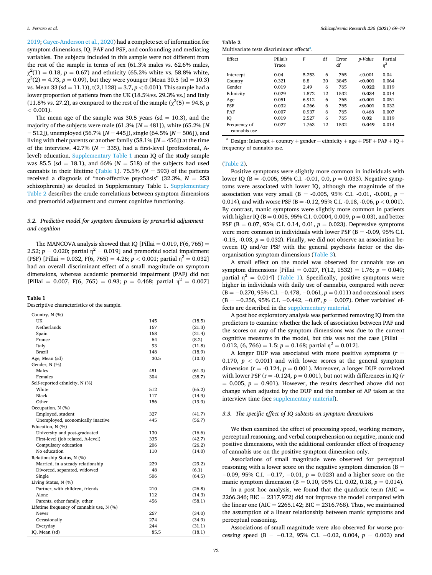[2019; Gayer-Anderson et al., 2020](#page-8-0)) had a complete set of information for symptom dimensions, IQ, PAF and PSF, and confounding and mediating variables. The subjects included in this sample were not different from the rest of the sample in terms of sex (61.3% males vs. 62.6% males,  $\chi^2(1) = 0.18$ ,  $p = 0.67$ ) and ethnicity (65.2% white vs. 58.8% white,  $\chi^2(2) = 4.73$ ,  $p = 0.09$ ), but they were younger (Mean 30.5 (sd = 10.3) vs. Mean 33 (sd = 11.1)), t(2,1128) = 3.7, *p <* 0.001). This sample had a lower proportion of patients from the UK (18.5%vs. 29.3% vs.) and Italy (11.8% vs. 27.2), as compared to the rest of the sample ( $\chi^2(5) = 94.8$ , p  $< 0.001$ .

The mean age of the sample was 30.5 years ( $sd = 10.3$ ), and the majority of the subjects were male (61.3% [*N* = 481]), white (65.2% [*N*  = 512]), unemployed (56.7% [*N* = 445]), single (64.5% [*N* = 506]), and living with their parents or another family (58.1% [*N* = 456]) at the time of the interview.  $42.7\%$  ( $N = 335$ ), had a first-level (professional, Alevel) education. Supplementary Table 1 mean IQ of the study sample was 85.5 (sd = 18.1), and 66% ( $N = 518$ ) of the subjects had used cannabis in their lifetime (Table 1). 75.5% ( $N = 593$ ) of the patients received a diagnosis of "non-affective psychosis"  $(32.3\%, N = 253)$ schizophrenia) as detailed in Supplementary Table 1. Supplementary Table 2 describes the crude correlations between symptom dimensions and premorbid adjustment and current cognitive functioning.

## *3.2. Predictive model for symptom dimensions by premorbid adjustment and cognition*

The MANCOVA analysis showed that IQ [Pillai =  $0.019$ , F(6, 765) = 2.52;  $p = 0.020$ ; partial  $n^2 = 0.0191$  and premorbid social impairment (PSF) [Pillai = 0.032, F(6, 765) = 4.26;  $p < 0.001$ ; partial  $n^2 = 0.0321$ had an overall discriminant effect of a small magnitude on symptom dimensions, whereas academic premorbid impairment (PAF) did not [Pillai = 0.007, F(6, 765) = 0.93;  $p = 0.468$ ; partial  $\eta^2 = 0.007$ ]

#### **Table 1**

Descriptive characteristics of the sample.

| Country, N (%)                            |      |        |
|-------------------------------------------|------|--------|
| UK                                        | 145  | (18.5) |
| Netherlands                               | 167  | (21.3) |
| Spain                                     | 168  | (21.4) |
| France                                    | 64   | (8.2)  |
| Italy                                     | 93   | (11.8) |
| Brazil                                    | 148  | (18.9) |
| Age, Mean (sd)                            | 30.5 | (10.3) |
| Gender, N (%)                             |      |        |
| Males                                     | 481  | (61.3) |
| Females                                   | 304  | (38.7) |
| Self-reported ethnicity, N (%)            |      |        |
| White                                     | 512  | (65.2) |
| Black                                     | 117  | (14.9) |
| Other                                     | 156  | (19.9) |
| Occupation, N (%)                         |      |        |
| Employed, student                         | 327  | (41.7) |
| Unemployed, economically inactive         | 445  | (56.7) |
| Education, N (%)                          |      |        |
| University and post-graduated             | 130  | (16.6) |
| First-level (job related, A-level)        | 335  | (42.7) |
| Compulsory education                      | 206  | (26.2) |
| No education                              | 110  | (14.0) |
| Relationship Status, N (%)                |      |        |
| Married, in a steady relationship         | 229  | (29.2) |
| Divorced, separated, widowed              | 48   | (6.1)  |
| Single                                    | 506  | (64.5) |
| Living Status, N (%)                      |      |        |
| Partner, with children, friends           | 210  | (26.8) |
| Alone                                     | 112  | (14.3) |
| Parents, other family, other              | 456  | (58.1) |
| Lifetime frequency of cannabis use, N (%) |      |        |
| Never                                     | 267  | (34.0) |
| Occasionally                              | 274  | (34.9) |
| Everyday                                  | 244  | (31.1) |
| IQ, Mean (sd)                             | 85.5 | (18.1) |

| Table 2                                                |
|--------------------------------------------------------|
| Multivariate tests discriminant effects <sup>a</sup> . |

| Effect                       | Pillai's<br>Trace | F     | df | Error<br>df | p-Value    | Partial<br>$\eta^2$ |
|------------------------------|-------------------|-------|----|-------------|------------|---------------------|
| Intercept                    | 0.04              | 5.253 | 6  | 765         | ${<}0.001$ | 0.04                |
| Country                      | 0.321             | 8.8   | 30 | 3845        | < 0.001    | 0.064               |
| Gender                       | 0.019             | 2.49  | 6  | 765         | 0.022      | 0.019               |
| Ethnicity                    | 0.029             | 1.872 | 12 | 1532        | 0.034      | 0.014               |
| Age                          | 0.051             | 6.912 | 6  | 765         | < 0.001    | 0.051               |
| <b>PSF</b>                   | 0.032             | 4.266 | 6  | 765         | < 0.001    | 0.032               |
| PAF                          | 0.007             | 0.937 | 6  | 765         | 0.468      | 0.007               |
| IQ                           | 0.019             | 2.527 | 6  | 765         | 0.02       | 0.019               |
| Frequency of<br>cannabis use | 0.027             | 1.763 | 12 | 1532        | 0.049      | 0.014               |

 $^{\rm a}$  Design: Intercept + country + gender + ethnicity + age + PSF + PAF + IQ + frequency of cannabis use.

#### (Table 2).

Positive symptoms were slightly more common in individuals with lower IQ (B = -0.005, 95% C.I. -0.01, 0.0, *p* = 0.033). Negative symptoms were associated with lower IQ, although the magnitude of the association was very small (B = -0.005, 95% C.I. -0.01, -0.001,  $p =$ 0.014), and with worse PSF (B = -0.12, 95% C.I. -0.18, -0.06, p *<* 0.001). By contrast, manic symptoms were slightly more common in patients with higher IQ (B = 0.005, 95% C.I. 0.0004, 0.009, p = 0.03), and better PSF (B = 0.07, 95% C.I. 0.14, 0.01, *p* = 0.023). Depressive symptoms were more common in individuals with lower PSF ( $B = -0.09$ , 95% C.I.  $-0.15$ ,  $-0.03$ ,  $p = 0.032$ ). Finally, we did not observe an association between IQ and/or PSF with the general psychosis factor or the disorganisation symptom dimensions ([Table 3](#page-4-0)).

A small effect on the model was observed for cannabis use on symptom dimensions [Pillai = 0.027, F(12, 1532) = 1.76; *p* = 0.049; partial  $\eta^2 = 0.014$ ] (Table 1). Specifically, positive symptoms were higher in individuals with daily use of cannabis, compared with never (B = − 0.270, 95% C.I. − 0.478, − 0.061, *p* = 0.011) and occasional users (B = − 0.256, 95% C.I. − 0.442, − 0.07, *p* = 0.007). Other variables' effects are described in the supplementary material.

A post hoc exploratory analysis was performed removing IQ from the predictors to examine whether the lack of association between PAF and the scores on any of the symptom dimensions was due to the current cognitive measures in the model, but this was not the case [Pillai  $=$ 0.012, (6, 766) = 1.5;  $p = 0.168$ ; partial  $\eta^2 = 0.012$ ].

A longer DUP was associated with more positive symptoms (*r* = 0.170,  $p < 0.001$  and with lower scores at the general symptom dimension ( $r = -0.124$ ,  $p = 0.001$ ). Moreover, a longer DUP correlated with lower PSF ( $r = -0.124$ ,  $p = 0.001$ ), but not with differences in IQ ( $r$  $= 0.005$ ,  $p = 0.901$ ). However, the results described above did not change when adjusted by the DUP and the number of AP taken at the interview time (see supplementary material).

## *3.3. The specific effect of IQ subtests on symptom dimensions*

We then examined the effect of processing speed, working memory, perceptual reasoning, and verbal comprehension on negative, manic and positive dimensions, with the additional confounder effect of frequency of cannabis use on the positive symptom dimension only.

Associations of small magnitude were observed for perceptual reasoning with a lower score on the negative symptom dimension  $(B =$ − 0.09, 95% C.I. − 0.17, − 0.01, *p* = 0.023) and a higher score on the manic symptom dimension ( $B = 0.10$ , 95% C.I. 0.02, 0.18,  $p = 0.014$ ). In a post hoc analysis, we found that the quadratic term  $(AIC =$ 2266.346; BIC = 2317.972) did not improve the model compared with the linear one (AIC = 2265.142; BIC = 2316.768). Thus, we maintained the assumption of a linear relationship between manic symptoms and perceptual reasoning.

Associations of small magnitude were also observed for worse processing speed (B =  $-0.12$ , 95% C.I.  $-0.02$ , 0.004,  $p = 0.003$ ) and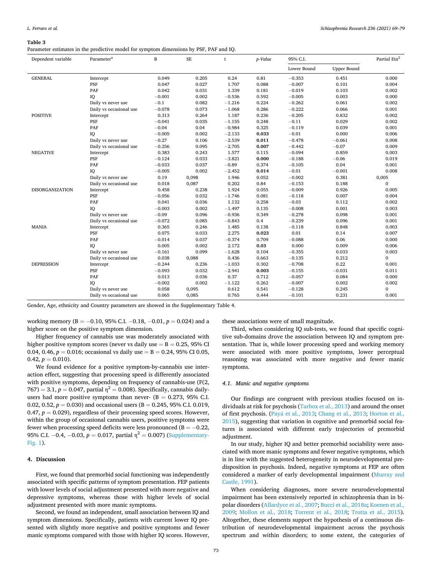#### <span id="page-4-0"></span>**Table 3**

Parameter estimates in the predictive model for symptom dimensions by PSF, PAF and IQ.

| Dependent variable     | Parameter <sup>a</sup>  | B        | <b>SE</b> | t        | p-Value | 95% C.I.    |                    | Partial Eta <sup>2</sup> |
|------------------------|-------------------------|----------|-----------|----------|---------|-------------|--------------------|--------------------------|
|                        |                         |          |           |          |         | Lower Bound | <b>Upper Bound</b> |                          |
| <b>GENERAL</b>         | Intercept               | 0.049    | 0.205     | 0.24     | 0.81    | $-0.353$    | 0.451              | 0.000                    |
|                        | PSF                     | 0.047    | 0.027     | 1.707    | 0.088   | $-0.007$    | 0.101              | 0.004                    |
|                        | PAF                     | 0.042    | 0.031     | 1.339    | 0.181   | $-0.019$    | 0.103              | 0.002                    |
|                        | IQ                      | $-0.001$ | 0.002     | $-0.536$ | 0.592   | $-0.005$    | 0.003              | 0.000                    |
|                        | Daily vs never use      | $-0.1$   | 0.082     | $-1.216$ | 0.224   | $-0.262$    | 0.061              | 0.002                    |
|                        | Daily vs occasional use | $-0.078$ | 0.073     | $-1.068$ | 0.286   | $-0.222$    | 0.066              | 0.001                    |
| <b>POSITIVE</b>        | Intercept               | 0.313    | 0.264     | 1.187    | 0.236   | $-0.205$    | 0.832              | 0.002                    |
|                        | PSF                     | $-0.041$ | 0.035     | $-1.155$ | 0.248   | $-0.11$     | 0.029              | 0.002                    |
|                        | PAF                     | $-0.04$  | 0.04      | $-0.984$ | 0.325   | $-0.119$    | 0.039              | 0.001                    |
|                        | IQ                      | $-0.005$ | 0.002     | $-2.133$ | 0.033   | $-0.01$     | 0.000              | 0.006                    |
|                        | Daily vs never use      | $-0.27$  | 0.106     | $-2.539$ | 0.011   | $-0.478$    | $-0.061$           | 0.008                    |
|                        | Daily vs occasional use | $-0.256$ | 0.095     | $-2.705$ | 0.007   | $-0.442$    | $-0.07$            | 0.009                    |
| <b>NEGATIVE</b>        | Intercept               | 0.383    | 0.243     | 1.577    | 0.115   | $-0.094$    | 0.859              | 0.003                    |
|                        | PSF                     | $-0.124$ | 0.033     | $-3.821$ | 0.000   | $-0.188$    | $-0.06$            | 0.019                    |
|                        | PAF                     | $-0.033$ | 0.037     | $-0.89$  | 0.374   | $-0.105$    | 0.04               | 0.001                    |
|                        | IQ                      | $-0.005$ | 0.002     | $-2.452$ | 0.014   | $-0.01$     | $-0.001$           | 0.008                    |
|                        | Daily vs never use      | 0.19     | 0,098     | 1.946    | 0.052   | $-0.002$    | 0.381              | 0,005                    |
|                        | Daily vs occasional use | 0.018    | 0,087     | 0.202    | 0.84    | $-0.153$    | 0.188              | $\mathbf{0}$             |
| <b>DISORGANIZATION</b> | Intercept               | 0.458    | 0.238     | 1.924    | 0.055   | $-0.009$    | 0.926              | 0.005                    |
|                        | PSF                     | $-0.056$ | 0.032     | $-1.746$ | 0.081   | $-0.118$    | 0.007              | 0.004                    |
|                        | PAF                     | 0.041    | 0.036     | 1.132    | 0.258   | $-0.03$     | 0.112              | 0.002                    |
|                        | IQ                      | $-0.003$ | 0.002     | $-1.497$ | 0.135   | $-0.008$    | 0.001              | 0.003                    |
|                        | Daily vs never use      | $-0.09$  | 0.096     | $-0.936$ | 0.349   | $-0.278$    | 0.098              | 0.001                    |
|                        | Daily vs occasional use | $-0.072$ | 0.085     | $-0.843$ | 0.4     | $-0.239$    | 0.096              | 0.001                    |
| <b>MANIA</b>           | Intercept               | 0.365    | 0.246     | 1.485    | 0.138   | $-0.118$    | 0.848              | 0.003                    |
|                        | PSF                     | 0.075    | 0.033     | 2.275    | 0.023   | 0.01        | 0.14               | 0.007                    |
|                        | PAF                     | $-0.014$ | 0.037     | $-0.374$ | 0.709   | $-0.088$    | 0.06               | 0.000                    |
|                        | IQ                      | 0.005    | 0.002     | 2.172    | 0.03    | 0.000       | 0.009              | 0.006                    |
|                        | Daily vs never use      | $-0.161$ | 0.099     | $-1.628$ | 0.104   | $-0.355$    | 0.033              | 0.003                    |
|                        | Daily vs occasional use | 0.038    | 0,088     | 0.436    | 0.663   | $-0.135$    | 0.212              | $\mathbf{0}$             |
| <b>DEPRESSION</b>      | Intercept               | $-0.244$ | 0.236     | $-1.033$ | 0.302   | $-0.708$    | 0.22               | 0.001                    |
|                        | PSF                     | $-0.093$ | 0.032     | $-2.941$ | 0.003   | $-0.155$    | $-0.031$           | 0.011                    |
|                        | PAF                     | 0.013    | 0.036     | 0.37     | 0.712   | $-0.057$    | 0.084              | 0.000                    |
|                        | IQ                      | $-0.002$ | 0.002     | $-1.122$ | 0.262   | $-0.007$    | 0.002              | 0.002                    |
|                        | Daily vs never use      | 0.058    | 0,095     | 0.612    | 0.541   | $-0.128$    | 0.245              | $\Omega$                 |
|                        | Daily vs occasional use | 0.065    | 0,085     | 0.765    | 0.444   | $-0.101$    | 0.231              | 0.001                    |

Gender, Age, ethnicity and Country parameters are showed in the Supplementary Table 4.

working memory (B = -0.10, 95% C.I. -0.18, -0.01, *p* = 0.024) and a higher score on the positive symptom dimension.

Higher frequency of cannabis use was moderately associated with higher positive symptom scores (never vs daily use  $=$  B  $=$  0.25, 95% CI 0.04, 0.46,  $p = 0.016$ ; occasional vs daily use = B = 0.24, 95% CI 0.05,  $0.42, p = 0.010$ .

We found evidence for a positive symptom-by-cannabis use interaction effect, suggesting that processing speed is differently associated with positive symptoms, depending on frequency of cannabis-use (F(2,  $767$ ) = 3.1,  $p = 0.047$ , partial  $\eta^2 = 0.008$ ). Specifically, cannabis dailyusers had more positive symptoms than never-  $(B = 0.273, 95\% \text{ C.I.})$ 0.02, 0.52,  $p = 0.030$ ) and occasional users (B = 0.245, 95% C.I. 0.019, 0.47,  $p = 0.029$ ), regardless of their processing speed scores. However, within the group of occasional cannabis users, positive symptoms were fewer when processing speed deficits were less pronounced ( $B = -0.22$ , 95% C.I.  $-0.4$ ,  $-0.03$ ,  $p = 0.017$ , partial  $\eta^2 = 0.007$ ) (Supplementary-Fig. 1).

## **4. Discussion**

First, we found that premorbid social functioning was independently associated with specific patterns of symptom presentation. FEP patients with lower levels of social adjustment presented with more negative and depressive symptoms, whereas those with higher levels of social adjustment presented with more manic symptoms.

Second, we found an independent, small association between IQ and symptom dimensions. Specifically, patients with current lower IQ presented with slightly more negative and positive symptoms and fewer manic symptoms compared with those with higher IQ scores. However,

these associations were of small magnitude.

Third, when considering IQ sub-tests, we found that specific cognitive sub-domains drove the association between IQ and symptom presentation. That is, while lower processing speed and working memory were associated with more positive symptoms, lower perceptual reasoning was associated with more negative and fewer manic symptoms.

## *4.1. Manic and negative symptoms*

Our findings are congruent with previous studies focused on individuals at risk for psychosis ([Tarbox et al., 2013](#page-10-0)) and around the onset of first psychosis. (Payá [et al., 2013](#page-9-0); [Chang et al., 2013;](#page-8-0) Horton et al., [2015\)](#page-9-0), suggesting that variation in cognitive and premorbid social features is associated with different early trajectories of premorbid adjustment.

In our study, higher IQ and better premorbid sociability were associated with more manic symptoms and fewer negative symptoms, which is in line with the suggested heterogeneity in neurodevelopmental predisposition in psychosis. Indeed, negative symptoms at FEP are often considered a marker of early developmental impairment ([Murray and](#page-9-0)  [Castle, 1991](#page-9-0)).

When considering diagnoses, more severe neurodevelopmental impairment has been extensively reported in schizophrenia than in bipolar disorders ([Allardyce et al., 2007](#page-7-0); [Bucci et al., 2018a](#page-8-0); [Koenen et al.,](#page-9-0)  [2009;](#page-9-0) [Mollon et al., 2018](#page-9-0); [Torrent et al., 2018](#page-10-0); [Trotta et al., 2015](#page-10-0)). Altogether, these elements support the hypothesis of a continuous distribution of neurodevelopmental impairment across the psychosis spectrum and within disorders; to some extent, the categories of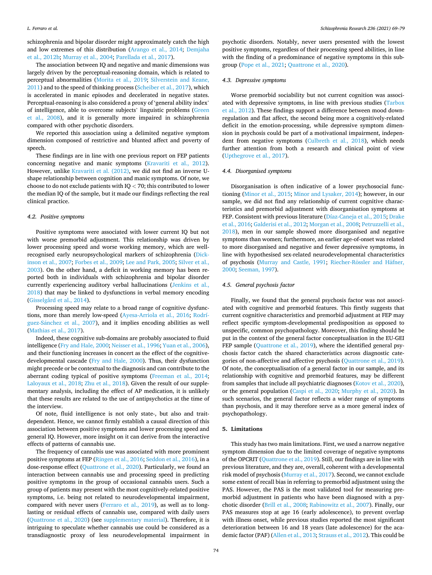schizophrenia and bipolar disorder might approximately catch the high and low extremes of this distribution [\(Arango et al., 2014;](#page-7-0) [Demjaha](#page-8-0)  [et al., 2012b](#page-8-0); [Murray et al., 2004; Parellada et al., 2017\)](#page-9-0).

The association between IQ and negative and manic dimensions was largely driven by the perceptual-reasoning domain, which is related to perceptual abnormalities ([Morita et al., 2019](#page-9-0); [Silverstein and Keane,](#page-10-0)  [2011\)](#page-10-0) and to the speed of thinking process [\(Scheiber et al., 2017](#page-10-0)), which is accelerated in manic episodes and decelerated in negative states. Perceptual-reasoning is also considered a proxy of 'general ability index' of intelligence, able to overcome subjects' linguistic problems ([Green](#page-9-0)  [et al., 2008\)](#page-9-0), and it is generally more impaired in schizophrenia compared with other psychotic disorders.

We reported this association using a delimited negative symptom dimension composed of restrictive and blunted affect and poverty of speech.

These findings are in line with one previous report on FEP patients concerning negative and manic symptoms ([Kravariti et al., 2012](#page-9-0)). However, unlike [Kravariti et al. \(2012\),](#page-9-0) we did not find an inverse Ushape relationship between cognition and manic symptoms. Of note, we choose to do not exclude patients with IQ *<* 70; this contributed to lower the median IQ of the sample, but it made our findings reflecting the real clinical practice.

#### *4.2. Positive symptoms*

Positive symptoms were associated with lower current IQ but not with worse premorbid adjustment. This relationship was driven by lower processing speed and worse working memory, which are wellrecognised early neuropsychological markers of schizophrenia [\(Dick](#page-8-0)[inson et al., 2007; Forbes et al., 2009](#page-8-0); [Lee and Park, 2005;](#page-9-0) [Silver et al.,](#page-10-0)  [2003\)](#page-10-0). On the other hand, a deficit in working memory has been reported both in individuals with schizophrenia and bipolar disorder currently experiencing auditory verbal hallucinations [\(Jenkins et al.,](#page-9-0)  [2018\)](#page-9-0) that may be linked to dysfunctions in verbal memory encoding ([Gisselgård et al., 2014\)](#page-9-0).

Processing speed may relate to a broad range of cognitive dysfunctions, more than merely low-speed ([Ayesa-Arriola et al., 2016](#page-7-0); [Rodrí](#page-10-0)guez-Sánchez et al., 2007), and it implies encoding abilities as well ([Mathias et al., 2017](#page-9-0)).

Indeed, these cognitive sub-domains are probably associated to fluid intelligence [\(Fry and Hale, 2000;](#page-8-0) [Neisser et al., 1996](#page-9-0); [Yuan et al., 2006](#page-10-0)), and their functioning increases in concert as the effect of the cognitivedevelopmental cascade [\(Fry and Hale, 2000\)](#page-8-0). Thus, their dysfunction might precede or be contextual to the diagnosis and can contribute to the aberrant coding typical of positive symptoms ([Freeman et al., 2014](#page-8-0); [Laloyaux et al., 2018](#page-9-0); [Zhu et al., 2018](#page-10-0)). Given the result of our supplementary analysis, including the effect of AP medication, it is unlikely that these results are related to the use of antipsychotics at the time of the interview.

Of note, fluid intelligence is not only state-, but also and traitdependent. Hence, we cannot firmly establish a causal direction of this association between positive symptoms and lower processing speed and general IQ. However, more insight on it can derive from the interactive effects of patterns of cannabis use.

The frequency of cannabis use was associated with more prominent positive symptoms at FEP ([Ringen et al., 2016; Seddon et al., 2016\)](#page-10-0), in a dose-response effect ([Quattrone et al., 2020\)](#page-10-0). Particularly, we found an interaction between cannabis use and processing speed in predicting positive symptoms in the group of occasional cannabis users. Such a group of patients may present with the most cognitively-related positive symptoms, i.e. being not related to neurodevelopmental impairment, compared with never users ([Ferraro et al., 2019\)](#page-8-0), as well as to longlasting or residual effects of cannabis use, compared with daily users ([Quattrone et al., 2020](#page-10-0)) (see supplementary material). Therefore, it is intriguing to speculate whether cannabis use could be considered as a transdiagnostic proxy of less neurodevelopmental impairment in psychotic disorders. Notably, never users presented with the lowest positive symptoms, regardless of their processing speed abilities, in line with the finding of a predominance of negative symptoms in this subgroup ([Pope et al., 2021; Quattrone et al., 2020\)](#page-10-0).

## *4.3. Depressive symptoms*

Worse premorbid sociability but not current cognition was associated with depressive symptoms, in line with previous studies ([Tarbox](#page-10-0)  [et al., 2012\)](#page-10-0). These findings support a difference between mood downregulation and flat affect, the second being more a cognitively-related deficit in the emotion-processing, while depressive symptom dimension in psychosis could be part of a motivational impairment, independent from negative symptoms [\(Culbreth et al., 2018\)](#page-8-0), which needs further attention from both a research and clinical point of view ([Upthegrove et al., 2017](#page-10-0)).

## *4.4. Disorganised symptoms*

Disorganisation is often indicative of a lower psychosocial functioning [\(Minor et al., 2015; Minor and Lysaker, 2014\)](#page-9-0); however, in our sample, we did not find any relationship of current cognitive characteristics and premorbid adjustment with disorganisation symptoms at FEP. Consistent with previous literature ([Díaz-Caneja et al., 2015; Drake](#page-8-0)  [et al., 2016; Galderisi et al., 2012;](#page-8-0) [Morgan et al., 2008;](#page-9-0) [Petruzzelli et al.,](#page-10-0)  [2018\)](#page-10-0), men in our sample showed more disorganised and negative symptoms than women; furthermore, an earlier age-of-onset was related to more disorganised and negative and fewer depressive symptoms, in line with hypothesised sex-related neurodevelopmental characteristics of psychosis ([Murray and Castle, 1991;](#page-9-0) Riecher-Rössler and Häfner, [2000; Seeman, 1997](#page-10-0)).

## *4.5. General psychosis factor*

Finally, we found that the general psychosis factor was not associated with cognitive and premorbid features. This firstly suggests that current cognitive characteristics and premorbid adjustment at FEP may reflect specific symptom-developmental predisposition as opposed to unspecific, common psychopathology. Moreover, this finding should be put in the context of the general factor conceptualisation in the EU-GEI FEP sample [\(Quattrone et al., 2019](#page-10-0)), where the identified general psychosis factor catch the shared characteristics across diagnostic categories of non-affective and affective psychosis [\(Quattrone et al., 2019](#page-10-0)). Of note, the conceptualisation of a general factor in our sample, and its relationship with cognitive and premorbid features, may be different from samples that include all psychiatric diagnoses [\(Kotov et al., 2020](#page-9-0)), or the general population [\(Caspi et al., 2020](#page-8-0); [Murphy et al., 2020\)](#page-9-0). In such scenarios, the general factor reflects a wider range of symptoms than psychosis, and it may therefore serve as a more general index of psychopathology.

## **5. Limitations**

This study has two main limitations. First, we used a narrow negative symptom dimension due to the limited coverage of negative symptoms of the OPCRIT ([Quattrone et al., 2019](#page-10-0)). Still, our findings are in line with previous literature, and they are, overall, coherent with a developmental risk model of psychosis [\(Murray et al., 2017\)](#page-9-0). Second, we cannot exclude some extent of recall bias in referring to premorbid adjustment using the PAS. However, the PAS is the most validated tool for measuring premorbid adjustment in patients who have been diagnosed with a psychotic disorder ([Brill et al., 2008](#page-8-0); [Rabinowitz et al., 2007](#page-10-0)). Finally, our PAS measures stop at age 16 (early adolescence), to prevent overlap with illness onset, while previous studies reported the most significant deterioration between 16 and 18 years (late adolescence) for the academic factor (PAF) ([Allen et al., 2013;](#page-7-0) [Strauss et al., 2012\)](#page-10-0). This could be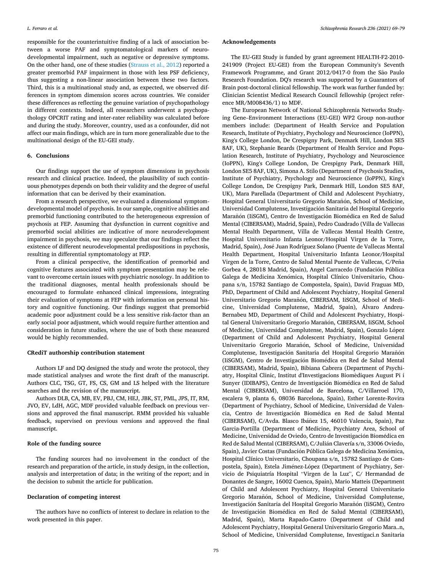responsible for the counterintuitive finding of a lack of association between a worse PAF and symptomatological markers of neurodevelopmental impairment, such as negative or depressive symptoms. On the other hand, one of these studies [\(Strauss et al., 2012](#page-10-0)) reported a greater premorbid PAF impairment in those with less PSF deficiency, thus suggesting a non-linear association between these two factors. Third, this is a multinational study and, as expected, we observed differences in symptom dimension scores across countries. We consider these differences as reflecting the genuine variation of psychopathology in different contexts. Indeed, all researchers underwent a psychopathology OPCRIT rating and inter-rater reliability was calculated before and during the study. Moreover, country, used as a confounder, did not affect our main findings, which are in turn more generalizable due to the multinational design of the EU-GEI study.

#### **6. Conclusions**

Our findings support the use of symptom dimensions in psychosis research and clinical practice. Indeed, the plausibility of such continuous phenotypes depends on both their validity and the degree of useful information that can be derived by their examination.

From a research perspective, we evaluated a dimensional symptomdevelopmental model of psychosis. In our sample, cognitive abilities and premorbid functioning contributed to the heterogeneous expression of psychosis at FEP. Assuming that dysfunction in current cognitive and premorbid social abilities are indicative of more neurodevelopment impairment in psychosis, we may speculate that our findings reflect the existence of different neurodevelopmental predispositions in psychosis, resulting in differential symptomatology at FEP.

From a clinical perspective, the identification of premorbid and cognitive features associated with symptom presentation may be relevant to overcome certain issues with psychiatric nosology. In addition to the traditional diagnoses, mental health professionals should be encouraged to formulate enhanced clinical impressions, integrating their evaluation of symptoms at FEP with information on personal history and cognitive functioning. Our findings suggest that premorbid academic poor adjustment could be a less sensitive risk-factor than an early social poor adjustment, which would require further attention and consideration in future studies, where the use of both these measured would be highly recommended.

#### **CRediT authorship contribution statement**

Authors LF and DQ designed the study and wrote the protocol, they made statistical analyses and wrote the first draft of the manuscript. Authors CLC, TSG, GT, FS, CS, GM and LS helped with the literature searches and the revision of the manuscript.

Authors DLB, CA, MB, EV, PBJ, CM, HEJ, JBK, ST, PML, JPS, IT, RM, JVO, EV, LdH, AGC, MDF provided valuable feedback on previous versions and approved the final manuscript. RMM provided his valuable feedback, supervised on previous versions and approved the final manuscript.

## **Role of the funding source**

The funding sources had no involvement in the conduct of the research and preparation of the article, in study design, in the collection, analysis and interpretation of data; in the writing of the report; and in the decision to submit the article for publication.

## **Declaration of competing interest**

The authors have no conflicts of interest to declare in relation to the work presented in this paper.

#### **Acknowledgements**

The EU-GEI Study is funded by grant agreement HEALTH-F2-2010- 241909 (Project EU-GEI) from the European Community's Seventh Framework Programme, and Grant 2012/0417-0 from the São Paulo Research Foundation. DQ's research was supported by a Guarantors of Brain post-doctoral clinical fellowship. The work was further funded by: Clinician Scientist Medical Research Council fellowship (project reference MR/M008436/1) to MDF.

The European Network of National Schizophrenia Networks Studying Gene–Environment Interactions (EU-GEI) WP2 Group non-author members include: (Department of Health Service and Population Research, Institute of Psychiatry, Psychology and Neuroscience (IoPPN), King's College London, De Crespigny Park, Denmark Hill, London SE5 8AF, UK), Stephanie Beards (Department of Health Service and Population Research, Institute of Psychiatry, Psychology and Neuroscience (IoPPN), King's College London, De Crespigny Park, Denmark Hill, London SE5 8AF, UK), Simona A. Stilo (Department of Psychosis Studies, Institute of Psychiatry, Psychology and Neuroscience (IoPPN), King's College London, De Crespigny Park, Denmark Hill, London SE5 8AF, UK), Mara Parellada (Department of Child and Adolescent Psychiatry, Hospital General Universitario Gregorio Marañón, School of Medicine, Universidad Complutense, Investigación Sanitaria del Hospital Gregorio Marañón (IiSGM), Centro de Investigación Biomédica en Red de Salud Mental (CIBERSAM), Madrid, Spain), Pedro Cuadrado (Villa de Vallecas Mental Health Department, Villa de Vallecas Mental Health Centre, Hospital Universitario Infanta Leonor/Hospital Virgen de la Torre, Madrid, Spain), José Juan Rodríguez Solano (Puente de Vallecas Mental Health Department, Hospital Universitario Infanta Leonor/Hospital Virgen de la Torre, Centro de Salud Mental Puente de Vallecas, C/Peña Gorbea 4, 28018 Madrid, Spain), Angel Carracedo (Fundación Pública Galega de Medicina Xenómica, Hospital Clínico Universitario, Choupana s/n, 15782 Santiago de Compostela, Spain), David Fraguas MD, PhD, Department of Child and Adolescent Psychiatry, Hospital General Universitario Gregorio Marañón, CIBERSAM, IiSGM, School of Medicine, Universidad Complutense, Madrid, Spain), Alvaro Andreu-Bernabeu MD, Department of Child and Adolescent Psychiatry, Hospital General Universitario Gregorio Marañón, CIBERSAM, IiSGM, School of Medicine, Universidad Complutense, Madrid, Spain), Gonzalo López (Department of Child and Adolescent Psychiatry, Hospital General Universitario Gregorio Marañón, School of Medicine, Universidad Complutense, Investigación Sanitaria del Hospital Gregorio Marañón (IiSGM), Centro de Investigación Biomédica en Red de Salud Mental (CIBERSAM), Madrid, Spain), Bibiana Cabrera (Department of Psychiatry, Hospital Clinic, Institut d'Investigacions Biomèdiques August Pi i Sunyer (IDIBAPS), Centro de Investigación Biomédica en Red de Salud Mental (CIBERSAM), Universidad de Barcelona, C/Villarroel 170, escalera 9, planta 6, 08036 Barcelona, Spain), Esther Lorente-Rovira (Department of Psychiatry, School of Medicine, Universidad de Valencia, Centro de Investigación Biomédica en Red de Salud Mental (CIBERSAM), C/Avda. Blasco Ibáñez 15, 46010 Valencia, Spain), Paz Garcia-Portilla (Department of Medicine, Psychiatry Area, School of Medicine, Universidad de Oviedo, Centro de Investigación Biomédica en Red de Salud Mental (CIBERSAM), C/Julián Clavería s/n, 33006 Oviedo, Spain), Javier Costas (Fundación Pública Galega de Medicina Xenómica, Hospital Clínico Universitario, Choupana s/n, 15782 Santiago de Compostela, Spain), Estela Jiménez-López (Department of Psychiatry, Servicio de Psiquiatría Hospital "Virgen de la Luz", C/ Hermandad de Donantes de Sangre, 16002 Cuenca, Spain), Mario Matteis (Department of Child and Adolescent Psychiatry, Hospital General Universitario Gregorio Marañón, School of Medicine, Universidad Complutense, Investigación Sanitaria del Hospital Gregorio Marañón (IiSGM), Centro de Investigación Biomédica en Red de Salud Mental (CIBERSAM), Madrid, Spain), Marta Rapado-Castro (Department of Child and Adolescent Psychiatry, Hospital General Universitario Gregorio Mara..n, School of Medicine, Universidad Complutense, Investigaci.n Sanitaria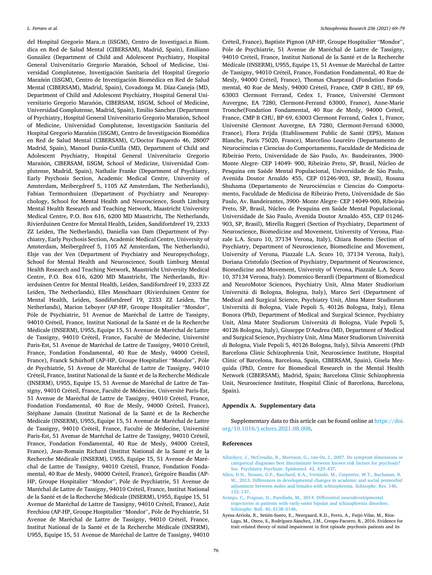<span id="page-7-0"></span>del Hospital Gregorio Mara..n (IiSGM), Centro de Investigaci.n Biom. dica en Red de Salud Mental (CIBERSAM), Madrid, Spain), Emiliano González (Department of Child and Adolescent Psychiatry, Hospital General Universitario Gregorio Marañón, School of Medicine, Universidad Complutense, Investigación Sanitaria del Hospital Gregorio Marañón (IiSGM), Centro de Investigación Biomédica en Red de Salud Mental (CIBERSAM), Madrid, Spain), Covadonga M. Díaz-Caneja (MD, Department of Child and Adolescent Psychiatry, Hospital General Universitario Gregorio Marañón, CIBERSAM, IiSGM, School of Medicine, Universidad Complutense, Madrid, Spain), Emilio Sánchez (Department of Psychiatry, Hospital General Universitario Gregorio Marañón, School of Medicine, Universidad Complutense, Investigación Sanitaria del Hospital Gregorio Marañón (IiSGM), Centro de Investigación Biomédica en Red de Salud Mental (CIBERSAM), C/Doctor Esquerdo 46, 28007 Madrid, Spain), Manuel Durán-Cutilla (MD, Department of Child and Adolescent Psychiatry, Hospital General Universitario Gregorio Marañón, CIBERSAM, IiSGM, School of Medicine, Universidad Complutense, Madrid, Spain), Nathalie Franke (Department of Psychiatry, Early Psychosis Section, Academic Medical Centre, University of Amsterdam, Meibergdreef 5, 1105 AZ Amsterdam, The Netherlands), Fabian Termorshuizen (Department of Psychiatry and Neuropsychology, School for Mental Health and Neuroscience, South Limburg Mental Health Research and Teaching Network, Maastricht University Medical Centre, P.O. Box 616, 6200 MD Maastricht, The Netherlands, Rivierduinen Centre for Mental Health, Leiden, Sandifortdreef 19, 2333 ZZ Leiden, The Netherlands), Daniella van Dam (Department of Psychiatry, Early Psychosis Section, Academic Medical Centre, University of Amsterdam, Meibergdreef 5, 1105 AZ Amsterdam, The Netherlands), Elsje van der Ven (Department of Psychiatry and Neuropsychology, School for Mental Health and Neuroscience, South Limburg Mental Health Research and Teaching Network, Maastricht University Medical Centre, P.O. Box 616, 6200 MD Maastricht, The Netherlands, Rivierduinen Centre for Mental Health, Leiden, Sandifortdreef 19, 2333 ZZ Leiden, The Netherlands), Elles Messchaart (Rivierduinen Centre for Mental Health, Leiden, Sandifortdreef 19, 2333 ZZ Leiden, The Netherlands), Marion Leboyer (AP-HP, Groupe Hospitalier "Mondor", Pôle de Psychiatrie, 51 Avenue de Maréchal de Lattre de Tassigny, 94010 Créteil, France, Institut National de la Santé et de la Recherche Médicale (INSERM), U955, Equipe 15, 51 Avenue de Maréchal de Lattre de Tassigny, 94010 Créteil, France, Faculté de Médecine, Université Paris-Est, 51 Avenue de Maréchal de Lattre de Tassigny, 94010 Créteil, France, Fondation Fondamental, 40 Rue de Mesly, 94000 Créteil, France), Franck Schürhoff (AP-HP, Groupe Hospitalier "Mondor", Pôle de Psychiatrie, 51 Avenue de Maréchal de Lattre de Tassigny, 94010 Créteil, France, Institut National de la Santé et de la Recherche Médicale (INSERM), U955, Equipe 15, 51 Avenue de Maréchal de Lattre de Tassigny, 94010 Créteil, France, Faculté de Médecine, Université Paris-Est, 51 Avenue de Maréchal de Lattre de Tassigny, 94010 Créteil, France, Fondation Fondamental, 40 Rue de Mesly, 94000 Créteil, France), Stéphane Jamain (Institut National de la Santé et de la Recherche Médicale (INSERM), U955, Equipe 15, 51 Avenue de Maréchal de Lattre de Tassigny, 94010 Créteil, France, Faculté de Médecine, Université Paris-Est, 51 Avenue de Maréchal de Lattre de Tassigny, 94010 Créteil, France, Fondation Fondamental, 40 Rue de Mesly, 94000 Créteil, France), Jean-Romain Richard (Institut National de la Santé et de la Recherche Médicale (INSERM), U955, Equipe 15, 51 Avenue de Maréchal de Lattre de Tassigny, 94010 Créteil, France, Fondation Fondamental, 40 Rue de Mesly, 94000 Créteil, France), Grégoire Baudin (AP-HP, Groupe Hospitalier "Mondor", Pôle de Psychiatrie, 51 Avenue de Maréchal de Lattre de Tassigny, 94010 Créteil, France, Institut National de la Santé et de la Recherche Médicale (INSERM), U955, Equipe 15, 51 Avenue de Maréchal de Lattre de Tassigny, 94010 Créteil, France), Aziz Ferchiou (AP-HP, Groupe Hospitalier "Mondor", Pôle de Psychiatrie, 51 Avenue de Maréchal de Lattre de Tassigny, 94010 Créteil, France, Institut National de la Santé et de la Recherche Médicale (INSERM), U955, Equipe 15, 51 Avenue de Maréchal de Lattre de Tassigny, 94010

Créteil, France), Baptiste Pignon (AP-HP, Groupe Hospitalier "Mondor", Pôle de Psychiatrie, 51 Avenue de Maréchal de Lattre de Tassigny, 94010 Créteil, France, Institut National de la Santé et de la Recherche Médicale (INSERM), U955, Equipe 15, 51 Avenue de Maréchal de Lattre de Tassigny, 94010 Créteil, France, Fondation Fondamental, 40 Rue de Mesly, 94000 Créteil, France), Thomas Charpeaud (Fondation Fondamental, 40 Rue de Mesly, 94000 Créteil, France, CMP B CHU, BP 69, 63003 Clermont Ferrand, Cedex 1, France, Université Clermont Auvergne, EA 7280, Clermont-Ferrand 63000, France), Anne-Marie Tronche(Fondation Fondamental, 40 Rue de Mesly, 94000 Créteil, France, CMP B CHU, BP 69, 63003 Clermont Ferrand, Cedex 1, France, Université Clermont Auvergne, EA 7280, Clermont-Ferrand 63000, France), Flora Frijda (Etablissement Public de Santé (EPS), Maison Blanche, Paris 75020, France), Marcelino Loureiro (Departamento de Neurociências e Ciencias do Comportamento, Faculdade de Medicina de Ribeirão Preto, Universidade de São Paulo, Av. Bandeirantes, 3900-Monte Alegre- CEP 14049- 900, Ribeirão Preto, SP, Brasil, Núcleo de Pesquina em Saúde Mental Populacional, Universidade de São Paulo, Avenida Doutor Arnaldo 455, CEP 01246-903, SP, Brasil), Rosana Shuhama (Departamento de Neurociências e Ciencias do Comportamento, Faculdade de Medicina de Ribeirão Preto, Universidade de São Paulo, Av. Bandeirantes, 3900- Monte Alegre- CEP 14049-900, Ribeirão Preto, SP, Brasil, Núcleo de Pesquina em Saúde Mental Populacional, Universidade de São Paulo, Avenida Doutor Arnaldo 455, CEP 01246-903, SP, Brasil), Mirella Ruggeri (Section of Psychiatry, Department of Neuroscience, Biomedicine and Movement, University of Verona, Piazzale L.A. Scuro 10, 37134 Verona, Italy), Chiara Bonetto (Section of Psychiatry, Department of Neuroscience, Biomedicine and Movement, University of Verona, Piazzale L.A. Scuro 10, 37134 Verona, Italy), Doriana Cristofalo (Section of Psychiatry, Department of Neuroscience, Biomedicine and Movement, University of Verona, Piazzale L.A. Scuro 10, 37134 Verona, Italy). Domenico Berardi (Department of Biomedical and NeuroMotor Sciences, Psychiatry Unit, Alma Mater Studiorium Università di Bologna, Bologna, Italy), Marco Seri (Department of Medical and Surgical Science, Psychiatry Unit, Alma Mater Studiorum Università di Bologna, Viale Pepoli 5, 40126 Bologna, Italy), Elena Bonora (PhD, Department of Medical and Surgical Science, Psychiatry Unit, Alma Mater Studiorum Università di Bologna, Viale Pepoli 5, 40126 Bologna, Italy), Giuseppe D'Andrea (MD, Department of Medical and Surgical Science, Psychiatry Unit, Alma Mater Studiorum Universita ` di Bologna, Viale Pepoli 5, 40126 Bologna, Italy), Silvia Amoretti (PhD Barcelona Clinic Schizophrenia Unit, Neuroscience Institute, Hospital Clinic of Barcelona, Barcelona, Spain, CIBERSAM, Spain), Gisela Mezquida (PhD, Centre for Biomedical Research in the Mental Health Network (CIBERSAM), Madrid, Spain; Barcelona Clinic Schizophrenia Unit, Neuroscience Institute, Hospital Clinic of Barcelona, Barcelona, Spain).

## **Appendix A. Supplementary data**

Supplementary data to this article can be found online at [https://doi.](https://doi.org/10.1016/j.schres.2021.08.008)  [org/10.1016/j.schres.2021.08.008](https://doi.org/10.1016/j.schres.2021.08.008).

#### **References**

- [Allardyce, J., McCreadie, R., Morrison, G., van Os, J., 2007. Do symptom dimensions or](http://refhub.elsevier.com/S0920-9964(21)00323-6/rf202108061807295651)  [categorical diagnoses best discriminate between known risk factors for psychosis?](http://refhub.elsevier.com/S0920-9964(21)00323-6/rf202108061807295651) [Soc. Psychiatry Psychiatr. Epidemiol. 42, 429](http://refhub.elsevier.com/S0920-9964(21)00323-6/rf202108061807295651)–437.
- [Allen, D.N., Strauss, G.P., Barchard, K.A., Vertinski, M., Carpenter, W.T., Buchanan, R.](http://refhub.elsevier.com/S0920-9964(21)00323-6/rf202108061817170835)  [W., 2013. Differences in developmental changes in academic and social premorbid](http://refhub.elsevier.com/S0920-9964(21)00323-6/rf202108061817170835)  [adjustment between males and females with schizophrenia. Schizophr. Res. 146,](http://refhub.elsevier.com/S0920-9964(21)00323-6/rf202108061817170835) 132–[137](http://refhub.elsevier.com/S0920-9964(21)00323-6/rf202108061817170835).
- [Arango, C., Fraguas, D., Parellada, M., 2014. Differential neurodevelopmental](http://refhub.elsevier.com/S0920-9964(21)00323-6/rf202108061817190272)  [trajectories in patients with early-onset bipolar and schizophrenia disorders.](http://refhub.elsevier.com/S0920-9964(21)00323-6/rf202108061817190272) [Schizophr. Bull. 40, S138](http://refhub.elsevier.com/S0920-9964(21)00323-6/rf202108061817190272)–S146.
- Ayesa-Arriola, R., Setién-Suero, E., Neergaard, K.D., Ferro, A., Fatjó-Vilas, M., Ríos-Lago, M., Otero, S., Rodríguez-Sánchez, J.M., Crespo-Facorro, B., 2016. Evidence for trait related theory of mind impairment in first episode psychosis patients and its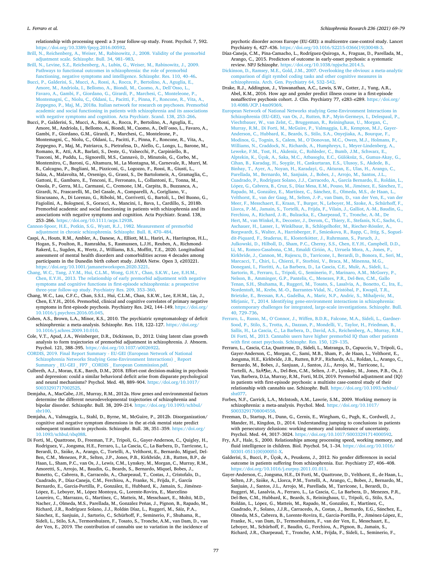<span id="page-8-0"></span>relationship with processing speed: a 3 year follow-up study. Front. Psychol. 7, 592. <https://doi.org/10.3389/fpsyg.2016.00592>.

[Brill, N., Reichenberg, A., Weiser, M., Rabinowitz, J., 2008. Validity of the premorbid](http://refhub.elsevier.com/S0920-9964(21)00323-6/rf202108061817210927) [adjustment scale. Schizophr. Bull. 34, 981](http://refhub.elsevier.com/S0920-9964(21)00323-6/rf202108061817210927)–983.

- [Brill, N., Levine, S.Z., Reichenberg, A., Lubin, G., Weiser, M., Rabinowitz, J., 2009.](http://refhub.elsevier.com/S0920-9964(21)00323-6/rf202108061817211083) [Pathways to functional outcomes in schizophrenia: the role of premorbid](http://refhub.elsevier.com/S0920-9964(21)00323-6/rf202108061817211083) [functioning, negative symptoms and intelligence. Schizophr. Res. 110, 40](http://refhub.elsevier.com/S0920-9964(21)00323-6/rf202108061817211083)–46.
- [Bucci, P., Galderisi, S., Mucci, A., Rossi, A., Rocca, P., Bertolino, A., Aguglia, E.,](http://refhub.elsevier.com/S0920-9964(21)00323-6/rf202108061807529402)  [Amore, M., Andriola, I., Bellomo, A., Biondi, M., Cuomo, A., Dell](http://refhub.elsevier.com/S0920-9964(21)00323-6/rf202108061807529402)'Osso, L., [Favaro, A., Gambi, F., Giordano, G., Girardi, P., Marchesi, C., Monteleone, P.,](http://refhub.elsevier.com/S0920-9964(21)00323-6/rf202108061807529402)  [Montemagni, C., Niolu, C., Oldani, L., Pacitti, F., Pinna, F., Roncone, R., Vita, A.,](http://refhub.elsevier.com/S0920-9964(21)00323-6/rf202108061807529402)  [Zeppegno, P., Maj, M., 2018a. Italian network for research on psychoses. Premorbid](http://refhub.elsevier.com/S0920-9964(21)00323-6/rf202108061807529402)  [academic and social functioning in patients with schizophrenia and its associations](http://refhub.elsevier.com/S0920-9964(21)00323-6/rf202108061807529402)  [with negative symptoms and cognition. Acta Psychiatr. Scand. 138, 253](http://refhub.elsevier.com/S0920-9964(21)00323-6/rf202108061807529402)–266.
- Bucci, P., Galderisi, S., Mucci, A., Rossi, A., Rocca, P., Bertolino, A., Aguglia, E., Amore, M., Andriola, I., Bellomo, A., Biondi, M., Cuomo, A., Dell'osso, L., Favaro, A., Gambi, F., Giordano, G.M., Girardi, P., Marchesi, C., Monteleone, P., Montemagni, C., Niolu, C., Oldani, L., Pacitti, F., Pinna, F., Roncone, R., Vita, A., Zeppegno, P., Maj, M., Patriarca, S., Pietrafesa, D., Aiello, C., Longo, L., Barone, M., Romano, R., Atti, A.R., Barlati, S., Deste, G., Valsecchi, P., Carpiniello, B., Tusconi, M., Puddu, L., Signorelli, M.S., Cannavò, D., Minutolo, G., Corbo, M., Montemitro, C., Baroni, G., Altamura, M., La Montagna, M., Carnevale, R., Murri, M. B., Calcagno, P., Bugliani, M., Pizziconi, G., Logozzo, F., Rossi, R., Giusti, L., Salza, A., Malavolta, M., Orsenigo, G., Grassi, S., De Bartolomeis, A., Gramaglia, C., Gattoni, E., Gambaro, E., Tenconi, E., Ferronato, L., Collantoni, E., Tonna, M., Ossola, P., Gerra, M.L., Carmassi, C., Cremone, I.M., Carpita, B., Buzzanca, A., Girardi, N., Frascarelli, M., Del Casale, A., Comparelli, A., Corigliano, V., Siracusano, A., Di Lorenzo, G., Ribolsi, M., Corrivetti, G., Bartoli, L., Del Buono, G., Fagiolini, A., Bolognesi, S., Goracci, A., Mancini, I., Bava, I., Cardillo, S., 2018b. Premorbid academic and social functioning in patients with schizophrenia and its associations with negative symptoms and cognition. Acta Psychiatr. Scand. 138, 253–266. <https://doi.org/10.1111/acps.12938>.

[Cannon-Spoor, H.E., Potkin, S.G., Wyatt, R.J., 1982. Measurement of premorbid](http://refhub.elsevier.com/S0920-9964(21)00323-6/rf202108061817227466) [adjustment in chronic schizophrenia. Schizophr. Bull. 8, 470](http://refhub.elsevier.com/S0920-9964(21)00323-6/rf202108061817227466)–484.

- Caspi, A., Houts, R.M., Ambler, A., Danese, A., Elliott, M.L., Hariri, A., Harrington, H.L., Hogan, S., Poulton, R., Ramrakha, S., Rasmussen, L.J.H., Reuben, A., Richmond-Rakerd, L., Sugden, K., Wertz, J., Williams, B.S., Moffitt, T.E., 2020. Longitudinal assessment of mental health disorders and comorbidities across 4 decades among participants in the Dunedin birth cohort study. JAMA Netw. Open 3, e203221. <https://doi.org/10.1001/jamanetworkopen.2020.3221>.
- [Chang, W.C., Tang, J.Y.M., Hui, C.L.M., Wong, G.H.Y., Chan, S.K.W., Lee, E.H.M.,](http://refhub.elsevier.com/S0920-9964(21)00323-6/rf202108061807549761)  [Chen, E.Y.H., 2013. The relationship of early premorbid adjustment with negative](http://refhub.elsevier.com/S0920-9964(21)00323-6/rf202108061807549761) [symptoms and cognitive functions in first-episode schizophrenia: a prospective](http://refhub.elsevier.com/S0920-9964(21)00323-6/rf202108061807549761) [three-year follow-up study. Psychiatry Res. 209, 353](http://refhub.elsevier.com/S0920-9964(21)00323-6/rf202108061807549761)–360.
- Chang, W.C., Lau, C.F.C., Chan, S.S.I., Hui, C.L.M., Chan, S.K.W., Lee, E.H.M., Lin, J., Chen, E.Y.H., 2016. Premorbid, clinical and cognitive correlates of primary negative symptoms in first-episode psychosis. Psychiatry Res. 242, 144–149. [https://doi.org/](https://doi.org/10.1016/j.psychres.2016.05.045)  [10.1016/j.psychres.2016.05.045.](https://doi.org/10.1016/j.psychres.2016.05.045)
- Cohen, A.S., Brown, L.A., Minor, K.S., 2010. The psychiatric symptomatology of deficit schizophrenia: a meta-analysis. Schizophr. Res. 118, 122-127. https://doi.org/ [10.1016/j.schres.2009.10.010.](https://doi.org/10.1016/j.schres.2009.10.010)
- Cole, V.T., Apud, J.A., Weinberger, D.R., Dickinson, D., 2012. Using latent class growth analysis to form trajectories of premorbid adjustment in schizophrenia. J. Abnorm. Psychol. 121, 388–395. [https://doi.org/10.1037/a0026922.](https://doi.org/10.1037/a0026922)
- [CORDIS, 2019. Final Report Summary EU-GEI \(European Network of National](http://refhub.elsevier.com/S0920-9964(21)00323-6/rf202108061816138269) [Schizophrenia Networks Studying Gene-Environment Interactions\) \\_ Report](http://refhub.elsevier.com/S0920-9964(21)00323-6/rf202108061816138269)  [Summary \\_ EU-GEI \\_ FP7 \\_ CORDIS \\_ European Commission.pdf](http://refhub.elsevier.com/S0920-9964(21)00323-6/rf202108061816138269).
- Culbreth, A.J., Moran, E.K., Barch, D.M., 2018. Effort-cost decision-making in psychosis and depression: could a similar behavioral deficit arise from disparate psychological and neural mechanisms? Psychol. Med. 48, 889–904. [https://doi.org/10.1017/](https://doi.org/10.1017/S0033291717002525) [S0033291717002525](https://doi.org/10.1017/S0033291717002525).
- Demjaha, A., MacCabe, J.H., Murray, R.M., 2012a. How genes and environmental factors determine the different neurodevelopmental trajectories of schizophrenia and bipolar disorder. Schizophr. Bull. 38, 209–214. [https://doi.org/10.1093/schbul/](https://doi.org/10.1093/schbul/sbr100)  [sbr100.](https://doi.org/10.1093/schbul/sbr100)
- Demjaha, A., Valmaggia, L., Stahl, D., Byrne, M., McGuire, P., 2012b. Disorganization/ cognitive and negative symptom dimensions in the at-risk mental state predict subsequent transition to psychosis. Schizophr. Bull. 38, 351-359. https:/ [10.1093/schbul/sbq088.](https://doi.org/10.1093/schbul/sbq088)
- Di Forti, M., Quattrone, D., Freeman, T.P., Tripoli, G., Gayer-Anderson, C., Quigley, H., Rodriguez, V., Jongsma, H.E., Ferraro, L., La Cascia, C., La Barbera, D., Tarricone, I., Berardi, D., Szöke, A., Arango, C., Tortelli, A., Velthorst, E., Bernardo, Miguel, Del-Ben, C.M., Menezes, P.R., Selten, J.P., Jones, P.B., Kirkbride, J.B., Rutten, B.P., de Haan, L., Sham, P.C., van Os, J., Lewis, C.M., Lynskey, M., Morgan, C., Murray, R.M., Amoretti, S., Arrojo, M., Baudin, G., Beards, S., Bernardo, Miquel, Bobes, J., Bonetto, C., Cabrera, B., Carracedo, A., Charpeaud, T., Costas, J., Cristofalo, D., Cuadrado, P., Díaz-Caneja, C.M., Ferchiou, A., Franke, N., Frijda, F., García Bernardo, E., Garcia-Portilla, P., González, E., Hubbard, K., Jamain, S., Jiménez-López, E., Leboyer, M., López Montoya, G., Lorente-Rovira, E., Marcelino Loureiro, C., Marrazzo, G., Martínez, C., Matteis, M., Messchaart, E., Moltó, M.D. Nacher, J., Olmeda, M.S., Parellada, M., González Peñas, J., Pignon, B., Rapado, M., Richard, J.R., Rodríguez Solano, J.J., Roldán Díaz, L., Ruggeri, M., Sáiz, P.A., Sánchez, E., Sanjuán, J., Sartorio, C., Schürhoff, F., Seminerio, F., Shuhama, R., Sideli, L., Stilo, S.A., Termorshuizen, F., Tosato, S., Tronche, A.M., van Dam, D., van der Ven, E., 2019. The contribution of cannabis use to variation in the incidence of

psychotic disorder across Europe (EU-GEI): a multicentre case-control study. Lancet Psychiatry 6, 427–436. [https://doi.org/10.1016/S2215-0366\(19\)30048-3.](https://doi.org/10.1016/S2215-0366(19)30048-3)

- Díaz-Caneja, C.M., Pina-Camacho, L., Rodríguez-Quiroga, A., Fraguas, D., Parellada, M., Arango, C., 2015. Predictors of outcome in early-onset psychosis: a systematic review. NPJ Schizophr. <https://doi.org/10.1038/npjschz.2014.5>.
- [Dickinson, D., Ramsey, M.E., Gold, J.M., 2007. Overlooking the obvious: a meta-analytic](http://refhub.elsevier.com/S0920-9964(21)00323-6/rf202108061817540424)  [comparison of digit symbol coding tasks and other cognitive measures in](http://refhub.elsevier.com/S0920-9964(21)00323-6/rf202108061817540424) [schizophrenia. Arch. Gen. Psychiatry 64, 532](http://refhub.elsevier.com/S0920-9964(21)00323-6/rf202108061817540424)–542.
- Drake, R.J., Addington, J., Viswanathan, A.C., Lewis, S.W., Cotter, J., Yung, A.R., Abel, K.M., 2016. How age and gender predict illness course in a first-episode nonaffective psychosis cohort. J. Clin. Psychiatry 77, e283–e289. [https://doi.org/](https://doi.org/10.4088/JCP.14m09369)  [10.4088/JCP.14m09369](https://doi.org/10.4088/JCP.14m09369).
- [European Network of National Networks studying Gene-Environment Interactions in](http://refhub.elsevier.com/S0920-9964(21)00323-6/rf202108061816517120) [Schizophrenia \(EU-GEI\), van Os, J., Rutten, B.P., Myin-Germeys, I., Delespaul, P.,](http://refhub.elsevier.com/S0920-9964(21)00323-6/rf202108061816517120) [Viechtbauer, W., van Zelst, C., Bruggeman, R., Reininghaus, U., Morgan, C.,](http://refhub.elsevier.com/S0920-9964(21)00323-6/rf202108061816517120)  [Murray, R.M., Di Forti, M., McGuire, P., Valmaggia, L.R., Kempton, M.J., Gayer-](http://refhub.elsevier.com/S0920-9964(21)00323-6/rf202108061816517120)[Anderson, C., Hubbard, K., Beards, S., Stilo, S.A., Onyejiaka, A., Bourque, F.,](http://refhub.elsevier.com/S0920-9964(21)00323-6/rf202108061816517120)  Modinos, G., Tognin, S., Calem, M., O'[Donovan, M.C., Owen, M.J., Holmans, P.,](http://refhub.elsevier.com/S0920-9964(21)00323-6/rf202108061816517120)  [Williams, N., Craddock, N., Richards, A., Humphreys, I., Meyer-Lindenberg, A.,](http://refhub.elsevier.com/S0920-9964(21)00323-6/rf202108061816517120)  [Leweke, F.M., Tost, H., Akdeniz, C., Rohleder, C., Bumb, J.M., Schwarz, E.,](http://refhub.elsevier.com/S0920-9964(21)00323-6/rf202108061816517120) Alptekin, K., Üçok, A., Saka, M.C., Atbasoglu, E.C., Gülöksüz, S., Gumus-Akay, G., [Cihan, B., Karadag, H., Soygür, H., Cankurtaran, E.S., Ulusoy, S., Akdede, B.,](http://refhub.elsevier.com/S0920-9964(21)00323-6/rf202108061816517120) [Binbay, T., Ayer, A., Noyan, H., Karadayi, G., Akturan, E., Ulas, H., Arango, C.,](http://refhub.elsevier.com/S0920-9964(21)00323-6/rf202108061816517120) Parellada, M., Bernardo, M., Sanjuán, J., Bobes, J., Arrojo, M., Santos, J.L., [Cuadrado, P., Rodríguez Solano, J.J., Carracedo, A., García Bernardo, E., Rold](http://refhub.elsevier.com/S0920-9964(21)00323-6/rf202108061816517120)án, L., López, [G., Cabrera, B., Cruz, S., Díaz Mesa, E.M., Pouso, M., Jim](http://refhub.elsevier.com/S0920-9964(21)00323-6/rf202108061816517120)énez, E., Sánchez, T., Rapado, M., González, E., Martínez, C., Sánchez, E., Olmeda, M.S., de Haan, L., [Velthorst, E., van der Gaag, M., Selten, J.-P., van Dam, D., van der Ven, E., van der](http://refhub.elsevier.com/S0920-9964(21)00323-6/rf202108061816517120)  [Meer, F., Messchaert, E., Kraan, T., Burger, N., Leboyer, M., Szoke, A., Schürhoff, F.,](http://refhub.elsevier.com/S0920-9964(21)00323-6/rf202108061816517120)  [Llorca, P.-M., Jamain, S., Tortelli, A., Frijda, F., Vilain, J., Galliot, A.-M., Baudin, G.,](http://refhub.elsevier.com/S0920-9964(21)00323-6/rf202108061816517120)  [Ferchiou, A., Richard, J.-R., Bulzacka, E., Charpeaud, T., Tronche, A.-M., De](http://refhub.elsevier.com/S0920-9964(21)00323-6/rf202108061816517120) [Hert, M., van Winkel, R., Decoster, J., Derom, C., Thiery, E., Stefanis, N.C., Sachs, G.,](http://refhub.elsevier.com/S0920-9964(21)00323-6/rf202108061816517120)  Aschauer, H., Lasser, I., Winklbaur, B., Schlögelhofer, M., Riecher-Rössler, A., [Borgwardt, S., Walter, A., Harrisberger, F., Smieskova, R., Rapp, C., Ittig, S., Soguel](http://refhub.elsevier.com/S0920-9964(21)00323-6/rf202108061816517120)dit-Piquard, F., Studerus, E., Klosterkötter, J., Ruhrmann, S., Paruch, J., [Julkowski, D., Hilboll, D., Sham, P.C., Cherny, S.S., Chen, E.Y.H., Campbell, D.D.,](http://refhub.elsevier.com/S0920-9964(21)00323-6/rf202108061816517120) Li, M., Romeo-Casabona, C.M., Emaldi Cirión, A., Urruela Mora, A., Jones, P., [Kirkbride, J., Cannon, M., Rujescu, D., Tarricone, I., Berardi, D., Bonora, E., Seri, M.,](http://refhub.elsevier.com/S0920-9964(21)00323-6/rf202108061816517120)  [Marcacci, T., Chiri, L., Chierzi, F., Storbini, V., Braca, M., Minenna, M.G.,](http://refhub.elsevier.com/S0920-9964(21)00323-6/rf202108061816517120)  [Donegani, I., Fioritti, A., La Barbera, D., La Cascia, C.E., Mul](http://refhub.elsevier.com/S0920-9964(21)00323-6/rf202108061816517120)è, A., Sideli, L., [Sartorio, R., Ferraro, L., Tripoli, G., Seminerio, F., Marinaro, A.M., McGorry, P.,](http://refhub.elsevier.com/S0920-9964(21)00323-6/rf202108061816517120)  [Nelson, B., Amminger, G.P., Pantelis, C., Menezes, P.R., Del-Ben, C.M., Gallo](http://refhub.elsevier.com/S0920-9964(21)00323-6/rf202108061816517120)  [Tenan, S.H., Shuhama, R., Ruggeri, M., Tosato, S., Lasalvia, A., Bonetto, C., Ira, E.,](http://refhub.elsevier.com/S0920-9964(21)00323-6/rf202108061816517120) Nordentoft, M., Krebs, M.-O., Barrantes-Vidal, N., Cristóbal, P., Kwapil, T.R., [Brietzke, E., Bressan, R.A., Gadelha, A., Maric, N.P., Andric, S., Mihaljevic, M.,](http://refhub.elsevier.com/S0920-9964(21)00323-6/rf202108061816517120)  [Mirjanic, T., 2014. Identifying gene-environment interactions in schizophrenia:](http://refhub.elsevier.com/S0920-9964(21)00323-6/rf202108061816517120) [contemporary challenges for integrated, large-scale investigations. Schizophr. Bull.](http://refhub.elsevier.com/S0920-9964(21)00323-6/rf202108061816517120) [40, 729](http://refhub.elsevier.com/S0920-9964(21)00323-6/rf202108061816517120)–736.
- Ferraro, L., Russo, M., O'[Connor, J., Wiffen, B.D.R., Falcone, M.A., Sideli, L., Gardner-](http://refhub.elsevier.com/S0920-9964(21)00323-6/rf202108061818074991)[Sood, P., Stilo, S., Trotta, A., Dazzan, P., Mondelli, V., Taylor, H., Friedman, B.,](http://refhub.elsevier.com/S0920-9964(21)00323-6/rf202108061818074991) [Sallis, H., La Cascia, C., La Barbera, D., David, A.S., Reichenberg, A., Murray, R.M.,](http://refhub.elsevier.com/S0920-9964(21)00323-6/rf202108061818074991)  [Di Forti, M., 2013. Cannabis users have higher premorbid IQ than other patients](http://refhub.elsevier.com/S0920-9964(21)00323-6/rf202108061818074991) [with first onset psychosis. Schizophr. Res. 150, 129](http://refhub.elsevier.com/S0920-9964(21)00323-6/rf202108061818074991)–135.
- Ferraro, L., Cascia, C.La, Quattrone, D., Sideli, L., Matranga, D., Capuccio, V., Tripoli, G., Gayer-Anderson, C., Morgan, C., Sami, M.B., Sham, P., de Haan, L., Velthorst, E., Jongsma, H.E., Kirkbride, J.B., Rutten, B.P.F., Richards, A.L., Roldan, L., Arango, C., Bernardo, M., Bobes, J., Sanjuan, J., Santos, J.L., Arrojo, M., Tarricone, I., Tortelli, A., SzA˜¶ke, A., Del-Ben, C.M., Selten, J.-P., Lynskey, M., Jones, P.B., Os, J. Van, Barbera, D.La, Murray, R.M., Forti, M.Di, 2019. Premorbid adjustment and {IQ} in patients with first-episode psychosis: a multisite case-control study of their relationship with cannabis use. Schizophr. Bull. [https://doi.org/10.1093/schbul/](https://doi.org/10.1093/schbul/sbz077) [sbz077](https://doi.org/10.1093/schbul/sbz077).
- Forbes, N.F., Carrick, L.A., McIntosh, A.M., Lawrie, S.M., 2009. Working memory in schizophrenia: a meta-analysis. Psychol. Med. [https://doi.org/10.1017/](https://doi.org/10.1017/S0033291708004558)  S003329170800455
- Freeman, D., Startup, H., Dunn, G., Cernis, E., Wingham, G., Pugh, K., Cordwell, J., Mander, H., Kingdon, D., 2014. Understanding jumping to conclusions in patients with persecutory delusions: working memory and intolerance of uncertainty. Psychol. Med. 44, 3017–3024. [https://doi.org/10.1017/S0033291714000592.](https://doi.org/10.1017/S0033291714000592)
- Fry, A.F., Hale, S., 2000. Relationships among processing speed, working memory, and fluid intelligence in children. Biol. Psychol. 54, 1–34. [https://doi.org/10.1016/](https://doi.org/10.1016/S0301-0511(00)00051-X)  [S0301-0511\(00\)00051-X.](https://doi.org/10.1016/S0301-0511(00)00051-X)
- Galderisi, S., Bucci, P., Üçok, A., Peuskens, J., 2012. No gender differences in social outcome in patients suffering from schizophrenia. Eur. Psychiatry 27, 406–408. <https://doi.org/10.1016/j.eurpsy.2011.01.011>.
- Gayer-Anderson, C., Jongsma, H.E., Di Forti, M., Quattrone, D., Velthorst, E., de Haan, L., Selten, J.P., Szöke, A., Llorca, P.M., Tortelli, A., Arango, C., Bobes, J., Bernardo, M., Sanjuán, J., Santos, J.L., Arrojo, M., Parellada, M., Tarricone, I., Berardi, D., Ruggeri, M., Lasalvia, A., Ferraro, L., La Cascia, C., La Barbera, D., Menezes, P.R., Del-Ben, C.M., Hubbard, K., Beards, S., Reininghaus, U., Tripoli, G., Stilo, S.A., Roldán, L., López, G., Matteis, M., Rapado, M., González, E., Martínez, C., Cuadrado, P., Solano, J.J.R., Carracedo, A., Costas, J., Bernardo, E.G., Sánchez, E., Olmeda, M.S., Cabrera, B., Lorente-Rovira, E., Garcia-Portilla, P., Jiménez-López, E., Franke, N., van Dam, D., Termorshuizen, F., van der Ven, E., Messchaart, E., Leboyer, M., Schürhoff, F., Baudin, G., Ferchiou, A., Pignon, B., Jamain, S., Richard, J.R., Charpeaud, T., Tronche, A.M., Frijda, F., Sideli, L., Seminerio, F.,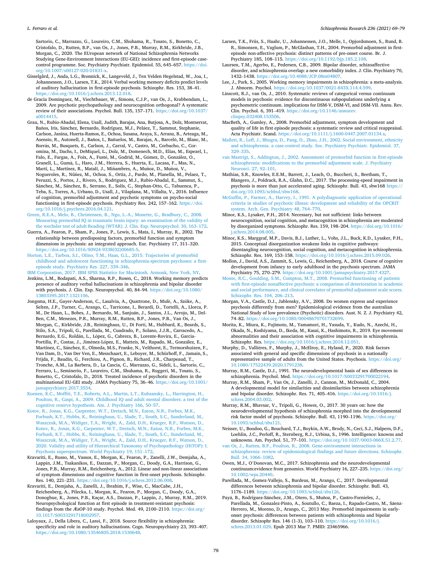#### <span id="page-9-0"></span>*L. Ferraro et al.*

Sartorio, C., Marrazzo, G., Loureiro, C.M., Shuhama, R., Tosato, S., Bonetto, C., Cristofalo, D., Rutten, B.P., van Os, J., Jones, P.B., Murray, R.M., Kirkbride, J.B., Morgan, C., 2020. The EUropean network of National Schizophrenia Networks Studying Gene-Environment Interactions (EU-GEI): incidence and first-episode casecontrol programme. Soc. Psychiatry Psychiatr. Epidemiol. 55, 645–657. [https://doi.](https://doi.org/10.1007/s00127-020-01831-x)  [org/10.1007/s00127-020-01831-x](https://doi.org/10.1007/s00127-020-01831-x).

- Gisselgård, J., Anda, L.G., Brønnick, K., Langeveld, J., Ten Velden Hegelstad, W., Joa, I., Johannessen, J.O., Larsen, T.K., 2014. Verbal working memory deficits predict levels of auditory hallucination in first-episode psychosis. Schizophr. Res. 153, 38–41. [https://doi.org/10.1016/j.schres.2013.12.018.](https://doi.org/10.1016/j.schres.2013.12.018)
- de Gracia Dominguez, M., Viechtbauer, W., Simons, C.J.P., van Os, J., Krabbendam, L., 2009. Are psychotic psychopathology and neurocognition orthogonal? A systematic review of their associations. Psychol. Bull. 135, 157–171. [https://doi.org/10.1037/](https://doi.org/10.1037/a0014415)  [a0014415.](https://doi.org/10.1037/a0014415)

Grau, N., Rubio-Abadal, Elena, Usall, Judith, Barajas, Ana, Butjosa, A., Dolz, Montserrat, Baños, Iris, Sánchez, Bernardo, Rodríguez, M.J., Peláez, T., Sammut, Stephanie, Carlson, Janina, Huerta-Ramos, E., Ochoa, Susana, Araya, S., Arranz, B., Arteaga, M., Asensio, R., Autonell, J., Baños, I., Bañuelos, M., Barajas, A., Barceló, M., Blanc, M., Borrás, M., Busquets, E., Carlson, J., Carral, V., Castro, M., Corbacho, C., Coromina, M., Dachs, I., DeMiquel, L., Dolz, M., Domenech, M.D., Elias, M., Espezel, I., Falo, E., Fargas, A., Foix, A., Fusté, M., Godrid, M., Gómez, D., González, O., Granell, L., Gumà, L., Haro, J.M., Herrera, S., Huerta, E., Lacasa, F., Mas, N., Martí, L., Martínez, R., Matalí, J., Miñambres, A., Muñoz, D., Muñoz, V., Nogueroles, R., Núñez, M., Ochoa, S., Ortiz, J., Pardo, M., Planella, M., Pelaez, T., Peruzzi, S., Portos, J., Rivero, S., Rodriguez, M.J., Rubio-Abadal, E., Sammut, S., Sánchez, M., Sánchez, B., Serrano, E., Solís, C., Stephan-Otto, C., Tabuenca, P., Teba, S., Torres, A., Urbano, D., Usall, J., Vilaplana, M., Villalta, V., 2016. Influence of cognition, premorbid adjustment and psychotic symptoms on psycho-social functioning in first-episode psychosis. Psychiatry Res. 242, 157–162. [https://doi.](https://doi.org/10.1016/j.psychres.2016.04.121) [org/10.1016/j.psychres.2016.04.121](https://doi.org/10.1016/j.psychres.2016.04.121).

- [Green, R.E.A., Melo, B., Christensen, B., Ngo, L.-A., Monette, G., Bradbury, C., 2008.](http://refhub.elsevier.com/S0920-9964(21)00323-6/rf202108061818020553) [Measuring premorbid IQ in traumatic brain injury: an examination of the validity of](http://refhub.elsevier.com/S0920-9964(21)00323-6/rf202108061818020553)  [the wechsler test of adult Reading \(WTAR\). J. Clin. Exp. Neuropsychol. 30, 163](http://refhub.elsevier.com/S0920-9964(21)00323-6/rf202108061818020553)–172.
- Guerra, A., Fearon, P., Sham, P., Jones, P., Lewis, S., Mata, I., Murray, R., 2002. The relationship between predisposing factors, premorbid function and symptom dimensions in psychosis: an integrated approach. Eur. Psychiatry 17, 311–320. [https://doi.org/10.1016/S0924-9338\(02\)00685-5.](https://doi.org/10.1016/S0924-9338(02)00685-5)
- [Horton, L.E., Tarbox, S.I., Olino, T.M., Haas, G.L., 2015. Trajectories of premorbid](http://refhub.elsevier.com/S0920-9964(21)00323-6/rf202108061818038269)  [childhood and adolescent functioning in schizophrenia-spectrum psychoses: a first](http://refhub.elsevier.com/S0920-9964(21)00323-6/rf202108061818038269)[episode study. Psychiatry Res. 227, 339](http://refhub.elsevier.com/S0920-9964(21)00323-6/rf202108061818038269)–346.
- [IBM Corporation, 2017. IBM SPSS Statistics for Macintosh. Armonk, New York, NY.](http://refhub.elsevier.com/S0920-9964(21)00323-6/rf202108061810314205) Jenkins, L.M., Bodapati, A.S., Sharma, R.P., Rosen, C., 2018. Working memory predicts presence of auditory verbal hallucinations in schizophrenia and bipolar disorder with psychosis. J. Clin. Exp. Neuropsychol. 40, 84–94. [https://doi.org/10.1080/](https://doi.org/10.1080/13803395.2017.1321106)  [13803395.2017.1321106](https://doi.org/10.1080/13803395.2017.1321106).
- Jongsma, H.E., Gayer-Anderson, C., Lasalvia, A., Quattrone, D., Mulè, A., Szöke, A., Selten, J.P., Turner, C., Arango, C., Tarricone, I., Berardi, D., Tortelli, A., Llorca, P. M., De Haan, L., Bobes, J., Bernardo, M., Sanjuán, J., Santos, J.L., Arrojo, M., Del-Ben, C.M., Menezes, P.R., Murray, R.M., Rutten, B.P., Jones, P.B., Van Os, J., Morgan, C., Kirkbride, J.B., Reininghaus, U., Di Forti, M., Hubbard, K., Beards, S., Stilo, S.A., Tripoli, G., Parellada, M., Cuadrado, P., Solano, J.J.R., Carracedo, A., Bernardo, E.G., Roldán, L., López, G., Cabrera, B., Lorente-Rovira, E., Garcia-Portilla, P., Costas, J., Jiménez-López, E., Matteis, M., Rapado, M., González, E., Martínez, C., Sánchez, E., Olmeda, M.S., Franke, N., Velthorst, E., Termorshuizen, F., Van Dam, D., Van Der Ven, E., Messchaart, E., Leboyer, M., Schürhoff, F., Jamain, S., Frijda, F., Baudin, G., Ferchiou, A., Pignon, B., Richard, J.R., Charpeaud, T., Tronche, A.M., La Barbera, D., La Cascia, C., Marrazzo, G., Sideli, L., Sartorio, C., Ferraro, L., Seminerio, F., Loureiro, C.M., Shuhama, R., Ruggeri, M., Tosato, S., Bonetto, C., Cristofalo, D., 2018. Treated incidence of psychotic disorders in the multinational EU-GEI study. JAMA Psychiatry 75, 36–46. [https://doi.org/10.1001/](https://doi.org/10.1001/jamapsychiatry.2017.3554)  [jamapsychiatry.2017.3554.](https://doi.org/10.1001/jamapsychiatry.2017.3554)
- [Koenen, K.C., Moffitt, T.E., Roberts, A.L., Martin, L.T., Kubzansky, L., Harrington, H.,](http://refhub.elsevier.com/S0920-9964(21)00323-6/rf202108061810418124) [Poulton, R., Caspi, A., 2009. Childhood IQ and adult mental disorders: a test of the](http://refhub.elsevier.com/S0920-9964(21)00323-6/rf202108061810418124)  [cognitive reserve hypothesis. Am. J. Psychiatry 166, 50](http://refhub.elsevier.com/S0920-9964(21)00323-6/rf202108061810418124)–57.
- [Kotov, R., Jonas, K.G., Carpenter, W.T., Dretsch, M.N., Eaton, N.R., Forbes, M.K.,](http://refhub.elsevier.com/S0920-9964(21)00323-6/rf202108061811086729)  [Forbush, K.T., Hobbs, K., Reininghaus, U., Slade, T., South, S.C., Sunderland, M.,](http://refhub.elsevier.com/S0920-9964(21)00323-6/rf202108061811086729)  [Waszczuk, M.A., Widiger, T.A., Wright, A., Zald, D.H., Krueger, R.F., Watson, D.,](http://refhub.elsevier.com/S0920-9964(21)00323-6/rf202108061811086729)  [Kotov, R., Jonas, K.G., Carpenter, W.T., Dretsch, M.N., Eaton, N.R., Forbes, M.K.,](http://refhub.elsevier.com/S0920-9964(21)00323-6/rf202108061811086729) [Forbush, K.T., Hobbs, K., Reininghaus, U., Slade, T., South, S.C., Sunderland, M.,](http://refhub.elsevier.com/S0920-9964(21)00323-6/rf202108061811086729)  [Waszczuk, M.A., Widiger, T.A., Wright, A., Zald, D.H., Krueger, R.F., Watson, D.,](http://refhub.elsevier.com/S0920-9964(21)00323-6/rf202108061811086729)  [2020. Validity and utility of Hierarchical Taxonomy of Psychopathology \(HiTOP\): I.](http://refhub.elsevier.com/S0920-9964(21)00323-6/rf202108061811086729)  [Psychosis superspectrum. World Psychiatry 19, 151](http://refhub.elsevier.com/S0920-9964(21)00323-6/rf202108061811086729)–172.
- Kravariti, E., Russo, M., Vassos, E., Morgan, K., Fearon, P., Zanelli, J.W., Demjaha, A., Lappin, J.M., Tsakanikos, E., Dazzan, P., Morgan, C., Doody, G.A., Harrison, G., Jones, P.B., Murray, R.M., Reichenberg, A., 2012. Linear and non-linear associations of symptom dimensions and cognitive function in first-onset psychosis. Schizophr. Res. 140, 221–231. <https://doi.org/10.1016/j.schres.2012.06.008>.
- Kravariti, E., Demjaha, A., Zanelli, J., Ibrahim, F., Wise, C., MacCabe, J.H., Reichenberg, A., Pilecka, I., Morgan, K., Fearon, P., Morgan, C., Doody, G.A., Donoghue, K., Jones, P.B., Kaçar, A.S., Dazzan, P., Lappin, J., Murray, R.M., 2019. Neuropsychological function at first episode in treatment-resistant psychosis: findings from the ÆsOP-10 study. Psychol. Med. 49, 2100–2110. [https://doi.org/](https://doi.org/10.1017/S0033291718002957) [10.1017/S0033291718002957.](https://doi.org/10.1017/S0033291718002957)
- Laloyaux, J., Della Libera, C., Larøi, F., 2018. Source flexibility in schizophrenia: specificity and role in auditory hallucinations. Cogn. Neuropsychiatry 23, 393–407. <https://doi.org/10.1080/13546805.2018.1530648>.
- Larsen, T.K., Friis, S., Haahr, U., Johannessen, J.O., Melle, I., Opjordsmoen, S., Rund, B. R., Simonsen, E., Vaglum, P., McGlashan, T.H., 2004. Premorbid adjustment in firstepisode non-affective psychosis: distinct patterns of pre-onset course. Br. J. Psychiatry 185, 108–115. [https://doi.org/10.1192/bjp.185.2.108.](https://doi.org/10.1192/bjp.185.2.108)
- Laursen, T.M., Agerbo, E., Pedersen, C.B., 2009. Bipolar disorder, schizoaffective disorder, and schizophrenia overlap: a new comorbidity index. J. Clin. Psychiatry 70, 1432–1438.<https://doi.org/10.4088/JCP.08m04807>.
- Lee, J., Park, S., 2005. Working memory impairments in schizophrenia: a meta-analysis. J. Abnorm. Psychol. <https://doi.org/10.1037/0021-843X.114.4.599>.
- Linscott, R.J., van Os, J., 2010. Systematic reviews of categorical versus continuum models in psychosis: evidence for discontinuous subpopulations underlying a psychometric continuum. implications for DSM-V, DSM-VI, and DSM-VII. Annu. Rev. Clin. Psychol. 6, 391-419. https://doi.org/10.1146/annure [clinpsy.032408.153506](https://doi.org/10.1146/annurev.clinpsy.032408.153506).
- MacBeth, A., Gumley, A., 2008. Premorbid adjustment, symptom development and quality of life in first episode psychosis: a systematic review and critical reappraisal. Acta Psychiatr. Scand. <https://doi.org/10.1111/j.1600-0447.2007.01134.x>.
- [Mallett, R., Leff, J., Bhugra, D., Pang, D., Zhao, J.H., 2002. Social environment, ethnicity](http://refhub.elsevier.com/S0920-9964(21)00323-6/rf202108061818448903)  [and schizophrenia. a case-control study. Soc. Psychiatry Psychiatr. Epidemiol. 37,](http://refhub.elsevier.com/S0920-9964(21)00323-6/rf202108061818448903)  329–[335](http://refhub.elsevier.com/S0920-9964(21)00323-6/rf202108061818448903).
- [van Mastrigt, S., Addington, J., 2002. Assessment of premorbid function in first-episode](http://refhub.elsevier.com/S0920-9964(21)00323-6/rf202108061820086259)  [schizophrenia: modifications to the premorbid adjustment scale. J. Psychiatry](http://refhub.elsevier.com/S0920-9964(21)00323-6/rf202108061820086259) [Neurosci. 27, 92](http://refhub.elsevier.com/S0920-9964(21)00323-6/rf202108061820086259)–101.
- Mathias, S.R., Knowles, E.E.M., Barrett, J., Leach, O., Buccheri, S., Beetham, T., Blangero, J., Poldrack, R.A., Glahn, D.C., 2017. The processing-speed impairment in psychosis is more than just accelerated aging. Schizophr. Bull. 43, sbw168 [https://](https://doi.org/10.1093/schbul/sbw168) [doi.org/10.1093/schbul/sbw168](https://doi.org/10.1093/schbul/sbw168).
- [McGuffin, P., Farmer, A., Harvey, I., 1991. A polydiagnostic application of operational](http://refhub.elsevier.com/S0920-9964(21)00323-6/rf202108061818254129)  [criteria in studies of psychotic illness: development and reliability of the OPCRIT](http://refhub.elsevier.com/S0920-9964(21)00323-6/rf202108061818254129) [system. Arch. Gen. Psychiatry 48, 764](http://refhub.elsevier.com/S0920-9964(21)00323-6/rf202108061818254129)–770.
- Minor, K.S., Lysaker, P.H., 2014. Necessary, but not sufficient: links between neurocognition, social cognition, and metacognition in schizophrenia are moderated by disorganized symptoms. Schizophr. Res. 159, 198–204. [https://doi.org/10.1016/](https://doi.org/10.1016/j.schres.2014.08.005)  [j.schres.2014.08.005](https://doi.org/10.1016/j.schres.2014.08.005).
- Minor, K.S., Marggraf, M.P., Davis, B.J., Luther, L., Vohs, J.L., Buck, K.D., Lysaker, P.H., 2015. Conceptual disorganization weakens links in cognitive pathways: disentangling neurocognition, social cognition, and metacognition in schizophrenia. Schizophr. Res. 169, 153–158. [https://doi.org/10.1016/j.schres.2015.09.026.](https://doi.org/10.1016/j.schres.2015.09.026)
- Mollon, J., David, A.S., Zammit, S., Lewis, G., Reichenberg, A., 2018. Course of cognitive development from infancy to early adulthood in the psychosis spectrum. JAMA Psychiatry 75, 270–279. <https://doi.org/10.1001/jamapsychiatry.2017.4327>.
- [Monte, R.C., Goulding, S.M., Compton, M.T., 2008. Premorbid functioning of patients](http://refhub.elsevier.com/S0920-9964(21)00323-6/rf202108061818597215) [with first-episode nonaffective psychosis: a comparison of deterioration in academic](http://refhub.elsevier.com/S0920-9964(21)00323-6/rf202108061818597215)  [and social performance, and clinical correlates of premorbid adjustment scale scores.](http://refhub.elsevier.com/S0920-9964(21)00323-6/rf202108061818597215)  [Schizophr. Res. 104, 206](http://refhub.elsevier.com/S0920-9964(21)00323-6/rf202108061818597215)–213.
- Morgan, V.A., Castle, D.J., Jablensky, A.V., 2008. Do women express and experience psychosis differently from men? Epidemiological evidence from the australian National Study of low prevalence (Psychotic) disorders. Aust. N. Z. J. Psychiatry 42, 74–82. [https://doi.org/10.1080/00048670701732699.](https://doi.org/10.1080/00048670701732699)
- Morita, K., Miura, K., Fujimoto, M., Yamamori, H., Yasuda, Y., Kudo, N., Azechi, H., Okada, N., Koshiyama, D., Ikeda, M., Kasai, K., Hashimoto, R., 2019. Eye movement abnormalities and their association with cognitive impairments in schizophrenia. Schizophr. Res. [https://doi.org/10.1016/j.schres.2018.12.051.](https://doi.org/10.1016/j.schres.2018.12.051)
- Murphy, D., Vallières, F., Murphy, J., McElroy, E., Hyland, P., 2020. Risk factors associated with general and specific dimensions of psychosis in a nationally representative sample of adults from the United States. Psychosis. [https://doi.org/](https://doi.org/10.1080/17522439.2020.1791238)  [10.1080/17522439.2020.1791238.](https://doi.org/10.1080/17522439.2020.1791238)

Murray, R.M., Castle, D.J., 1991. The neurodevelopmental basis of sex differences in schizophrenia. Psychol. Med. [https://doi.org/10.1017/S0033291700022194.](https://doi.org/10.1017/S0033291700022194)

- Murray, R.M., Sham, P., Van Os, J., Zanelli, J., Cannon, M., McDonald, C., 2004. A developmental model for similarities and dissimilarities between schizophrenia and bipolar disorder. Schizophr. Res. 71, 405–416. [https://doi.org/10.1016/j.](https://doi.org/10.1016/j.schres.2004.03.002) [schres.2004.03.002.](https://doi.org/10.1016/j.schres.2004.03.002)
- Murray, R.M., Bhavsar, V., Tripoli, G., Howes, O., 2017. 30 years on: how the neurodevelopmental hypothesis of schizophrenia morphed into the developmental risk factor model of psychosis. Schizophr. Bull. 43, 1190–1196. [https://doi.org/](https://doi.org/10.1093/schbul/sbx121)  [10.1093/schbul/sbx121](https://doi.org/10.1093/schbul/sbx121).
- Neisser, U., Boodoo, G., Bouchard, T.J., Boykin, A.W., Brody, N., Ceci, S.J., Halpern, D.F., Loehlin, J.C., Perloff, R., Sternberg, R.J., Urbina, S., 1996. Intelligence: knowns and unknowns. Am. Psychol. 51, 77–101. [https://doi.org/10.1037/0003-066X.51.2.77.](https://doi.org/10.1037/0003-066X.51.2.77)
- [van Os, J., Rutten, B.P., Poulton, R., 2008. Gene-environment interactions in](http://refhub.elsevier.com/S0920-9964(21)00323-6/rf202108061820197419)  [schizophrenia: review of epidemiological findings and future directions. Schizophr.](http://refhub.elsevier.com/S0920-9964(21)00323-6/rf202108061820197419)  [Bull. 34, 1066](http://refhub.elsevier.com/S0920-9964(21)00323-6/rf202108061820197419)–1082.
- Owen, M.J., O'Donovan, M.C., 2017. Schizophrenia and the neurodevelopmental continuum:evidence from genomics. World Psychiatry 16, 227–235. [https://doi.org/](https://doi.org/10.1002/wps.20440)  [10.1002/wps.20440.](https://doi.org/10.1002/wps.20440)
- Parellada, M., Gomez-Vallejo, S., Burdeus, M., Arango, C., 2017. Developmental differences between schizophrenia and bipolar disorder. Schizophr. Bull. 43, 1176–1189. [https://doi.org/10.1093/schbul/sbx126.](https://doi.org/10.1093/schbul/sbx126)
- Payá, B., Rodríguez-Sánchez, J.M., Otero, S., Muñoz, P., Castro-Fornieles, J., Parellada, M., Gonzalez-Pinto, A., Soutullo, C., Baeza, I., Rapado-Castro, M., Sáenz-Herrero, M., Moreno, D., Arango, C., 2013 May. Premorbid impairments in earlyonset psychosis: differences between patients with schizophrenia and bipolar disorder. Schizophr Res. 146 (1-3), 103–110. [https://doi.org/10.1016/j.](https://doi.org/10.1016/j.schres.2013.01.029) [schres.2013.01.029.](https://doi.org/10.1016/j.schres.2013.01.029) Epub 2013 Mar 7. PMID: 23465966.